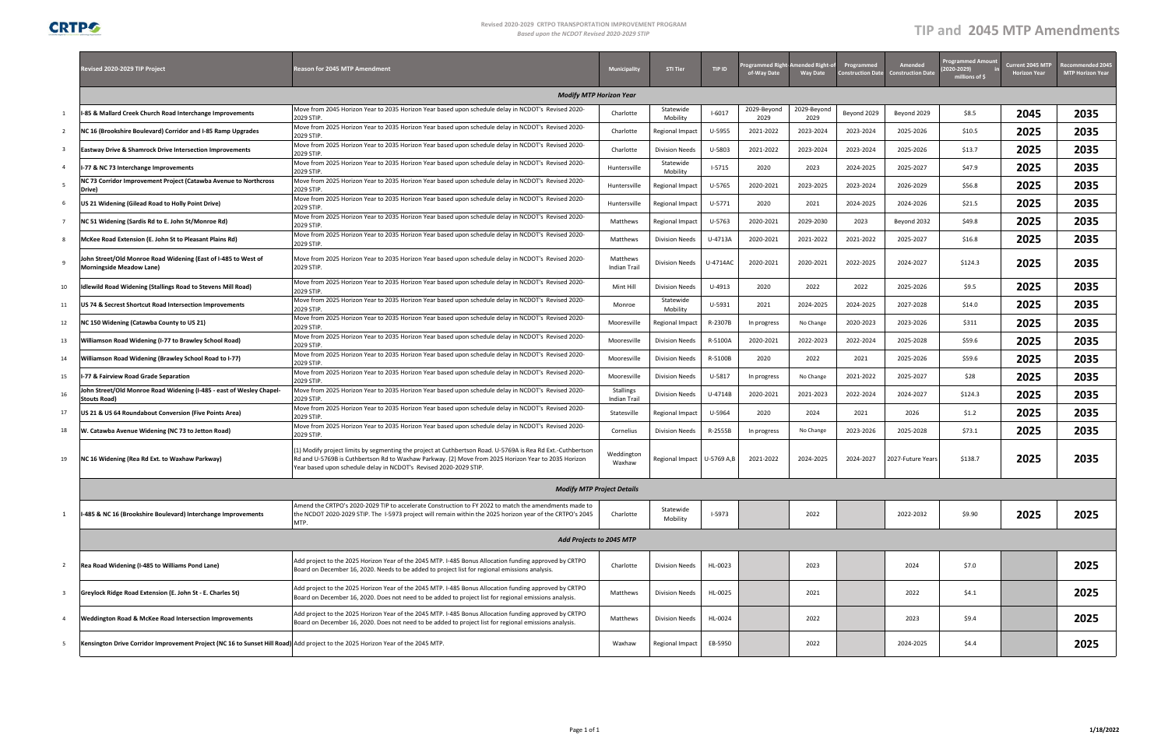**CRTPG** 

### **Revised 2020‐2029 CRTPO TRANSPORTATION IMPROVEMENT PROGRAM Based upon the NCDOT Revised 2020-2029 STIP**

# *upon the NCDOT Revised <sup>2020</sup>‐<sup>2029</sup> STIP* **TIP and 2045 MTP Amendments**

|                         | Revised 2020-2029 TIP Project                                                               | Reason for 2045 MTP Amendment                                                                                                                                                                                                                                                          |                                  |                              |          | ogrammed Righ<br>of-Way Date | ended Right-c<br><b>Way Date</b> | Programmed<br>onstruction Date | <b>Amended</b><br><b>Construction Date</b> | <b>Programmed Amou</b><br>2020-2029)<br>millions of \$ | Current 2045 MTP<br><b>Horizon Year</b> | commended 2045<br><b>MTP Horizon Year</b> |  |  |
|-------------------------|---------------------------------------------------------------------------------------------|----------------------------------------------------------------------------------------------------------------------------------------------------------------------------------------------------------------------------------------------------------------------------------------|----------------------------------|------------------------------|----------|------------------------------|----------------------------------|--------------------------------|--------------------------------------------|--------------------------------------------------------|-----------------------------------------|-------------------------------------------|--|--|
|                         | <b>Modify MTP Horizon Year</b>                                                              |                                                                                                                                                                                                                                                                                        |                                  |                              |          |                              |                                  |                                |                                            |                                                        |                                         |                                           |  |  |
| 1                       | 1-85 & Mallard Creek Church Road Interchange Improvements                                   | Move from 2045 Horizon Year to 2035 Horizon Year based upon schedule delay in NCDOT's Revised 2020-<br>2029 STIP.                                                                                                                                                                      | Charlotte                        | Statewide<br>Mobility        | $I-6017$ | 2029-Beyond<br>2029          | 2029-Beyond<br>2029              | Beyond 2029                    | Beyond 2029                                | \$8.5                                                  | 2045                                    | 2035                                      |  |  |
| $\overline{2}$          | NC 16 (Brookshire Boulevard) Corridor and I-85 Ramp Upgrades                                | Move from 2025 Horizon Year to 2035 Horizon Year based upon schedule delay in NCDOT's Revised 2020-<br>2029 STIP.                                                                                                                                                                      | Charlotte                        | Regional Impact              | U-5955   | 2021-2022                    | 2023-2024                        | 2023-2024                      | 2025-2026                                  | \$10.5                                                 | 2025                                    | 2035                                      |  |  |
| 3                       | <b>Eastway Drive &amp; Shamrock Drive Intersection Improvements</b>                         | Move from 2025 Horizon Year to 2035 Horizon Year based upon schedule delay in NCDOT's Revised 2020-<br>2029 STIP.                                                                                                                                                                      | Charlotte                        | <b>Division Needs</b>        | U-5803   | 2021-2022                    | 2023-2024                        | 2023-2024                      | 2025-2026                                  | \$13.7                                                 | 2025                                    | 2035                                      |  |  |
| $\overline{4}$          | I-77 & NC 73 Interchange Improvements                                                       | Move from 2025 Horizon Year to 2035 Horizon Year based upon schedule delay in NCDOT's Revised 2020-<br>2029 STIP                                                                                                                                                                       | Huntersville                     | Statewide<br>Mobility        | $1-5715$ | 2020                         | 2023                             | 2024-2025                      | 2025-2027                                  | \$47.9                                                 | 2025                                    | 2035                                      |  |  |
| - 5                     | NC 73 Corridor Improvement Project (Catawba Avenue to Northcross<br>Drive)                  | Move from 2025 Horizon Year to 2035 Horizon Year based upon schedule delay in NCDOT's Revised 2020-<br>2029 STIP.                                                                                                                                                                      | Huntersville                     | <b>Regional Impact</b>       | U-5765   | 2020-2021                    | 2023-2025                        | 2023-2024                      | 2026-2029                                  | \$56.8                                                 | 2025                                    | 2035                                      |  |  |
| 6                       | US 21 Widening (Gilead Road to Holly Point Drive)                                           | Move from 2025 Horizon Year to 2035 Horizon Year based upon schedule delay in NCDOT's Revised 2020-<br>2029 STIP.                                                                                                                                                                      | Huntersville                     | <b>Regional Impact</b>       | U-5771   | 2020                         | 2021                             | 2024-2025                      | 2024-2026                                  | \$21.5                                                 | 2025                                    | 2035                                      |  |  |
| $\overline{7}$          | NC 51 Widening (Sardis Rd to E. John St/Monroe Rd)                                          | Move from 2025 Horizon Year to 2035 Horizon Year based upon schedule delay in NCDOT's Revised 2020-<br>2029 STIP.                                                                                                                                                                      | Matthews                         | <b>Regional Impact</b>       | U-5763   | 2020-2021                    | 2029-2030                        | 2023                           | Beyond 2032                                | \$49.8                                                 | 2025                                    | 2035                                      |  |  |
| 8                       | McKee Road Extension (E. John St to Pleasant Plains Rd)                                     | Move from 2025 Horizon Year to 2035 Horizon Year based upon schedule delay in NCDOT's Revised 2020-<br>2029 STIP.                                                                                                                                                                      | Matthews                         | <b>Division Needs</b>        | U-4713A  | 2020-2021                    | 2021-2022                        | 2021-2022                      | 2025-2027                                  | \$16.8                                                 | 2025                                    | 2035                                      |  |  |
| 9                       | John Street/Old Monroe Road Widening (East of I-485 to West of<br>Morningside Meadow Lane)  | Move from 2025 Horizon Year to 2035 Horizon Year based upon schedule delay in NCDOT's Revised 2020-<br>2029 STIP.                                                                                                                                                                      | Matthews<br>Indian Trail         | <b>Division Needs</b>        | U-4714AC | 2020-2021                    | 2020-2021                        | 2022-2025                      | 2024-2027                                  | \$124.3                                                | 2025                                    | 2035                                      |  |  |
| 10                      | Idlewild Road Widening (Stallings Road to Stevens Mill Road)                                | Move from 2025 Horizon Year to 2035 Horizon Year based upon schedule delay in NCDOT's Revised 2020-<br>2029 STIP.                                                                                                                                                                      | Mint Hill                        | <b>Division Needs</b>        | U-4913   | 2020                         | 2022                             | 2022                           | 2025-2026                                  | \$9.5                                                  | 2025                                    | 2035                                      |  |  |
| 11                      | US 74 & Secrest Shortcut Road Intersection Improvements                                     | Move from 2025 Horizon Year to 2035 Horizon Year based upon schedule delay in NCDOT's Revised 2020-<br>2029 STIP                                                                                                                                                                       | Monroe                           | Statewide<br>Mobility        | U-5931   | 2021                         | 2024-2025                        | 2024-2025                      | 2027-2028                                  | \$14.0                                                 | 2025                                    | 2035                                      |  |  |
| 12                      | NC 150 Widening (Catawba County to US 21)                                                   | Move from 2025 Horizon Year to 2035 Horizon Year based upon schedule delay in NCDOT's Revised 2020-<br>2029 STIP.                                                                                                                                                                      | Mooresville                      | <b>Regional Impact</b>       | R-2307B  | In progress                  | No Change                        | 2020-2023                      | 2023-2026                                  | \$311                                                  | 2025                                    | 2035                                      |  |  |
| 13                      | Williamson Road Widening (I-77 to Brawley School Road)                                      | Move from 2025 Horizon Year to 2035 Horizon Year based upon schedule delay in NCDOT's Revised 2020-<br>2029 STIP.                                                                                                                                                                      | Mooresville                      | <b>Division Needs</b>        | R-5100A  | 2020-2021                    | 2022-2023                        | 2022-2024                      | 2025-2028                                  | \$59.6                                                 | 2025                                    | 2035                                      |  |  |
| 14                      | Williamson Road Widening (Brawley School Road to I-77)                                      | Move from 2025 Horizon Year to 2035 Horizon Year based upon schedule delay in NCDOT's Revised 2020-<br>2029 STIP.                                                                                                                                                                      | Mooresville                      | <b>Division Needs</b>        | R-5100B  | 2020                         | 2022                             | 2021                           | 2025-2026                                  | \$59.6                                                 | 2025                                    | 2035                                      |  |  |
| 15                      | I-77 & Fairview Road Grade Separation                                                       | Move from 2025 Horizon Year to 2035 Horizon Year based upon schedule delay in NCDOT's Revised 2020-<br>2029 STIP                                                                                                                                                                       | Mooresville                      | <b>Division Needs</b>        | U-5817   | In progress                  | No Change                        | 2021-2022                      | 2025-2027                                  | \$28                                                   | 2025                                    | 2035                                      |  |  |
| 16                      | Iohn Street/Old Monroe Road Widening (I-485 - east of Wesley Chapel-<br><b>Stouts Road)</b> | Move from 2025 Horizon Year to 2035 Horizon Year based upon schedule delay in NCDOT's Revised 2020<br>2029 STIP                                                                                                                                                                        | Stallings<br><b>Indian Trail</b> | <b>Division Needs</b>        | U-4714B  | 2020-2021                    | 2021-2023                        | 2022-2024                      | 2024-2027                                  | \$124.3                                                | 2025                                    | 2035                                      |  |  |
| 17                      | US 21 & US 64 Roundabout Conversion (Five Points Area)                                      | Move from 2025 Horizon Year to 2035 Horizon Year based upon schedule delay in NCDOT's Revised 2020<br>2029 STIP.                                                                                                                                                                       | Statesville                      | Regional Impact              | U-5964   | 2020                         | 2024                             | 2021                           | 2026                                       | \$1.2\$                                                | 2025                                    | 2035                                      |  |  |
| 18                      | W. Catawba Avenue Widening (NC 73 to Jetton Road)                                           | Move from 2025 Horizon Year to 2035 Horizon Year based upon schedule delay in NCDOT's Revised 2020-<br>2029 STIP.                                                                                                                                                                      | Cornelius                        | <b>Division Needs</b>        | R-2555B  | In progress                  | No Change                        | 2023-2026                      | 2025-2028                                  | \$73.1                                                 | 2025                                    | 2035                                      |  |  |
| 19                      | NC 16 Widening (Rea Rd Ext. to Waxhaw Parkway)                                              | 1) Modify project limits by segmenting the project at Cuthbertson Road. U-5769A is Rea Rd Ext.-Cuthbertson<br>Rd and U-5769B is Cuthbertson Rd to Waxhaw Parkway. (2) Move from 2025 Horizon Year to 2035 Horizon<br>Year based upon schedule delay in NCDOT's Revised 2020-2029 STIP. | Weddington<br>Waxhaw             | Regional Impact   U-5769 A,B |          | 2021-2022                    | 2024-2025                        | 2024-2027                      | 2027-Future Years                          | \$138.7                                                | 2025                                    | 2035                                      |  |  |
|                         |                                                                                             | <b>Modify MTP Project Details</b>                                                                                                                                                                                                                                                      |                                  |                              |          |                              |                                  |                                |                                            |                                                        |                                         |                                           |  |  |
| 1                       | II-485 & NC 16 (Brookshire Boulevard) Interchange Improvements                              | Amend the CRTPO's 2020-2029 TIP to accelerate Construction to FY 2022 to match the amendments made to<br>the NCDOT 2020-2029 STIP. The I-5973 project will remain within the 2025 horizon year of the CRTPO's 2045<br>MTP.                                                             |                                  |                              |          |                              | 2022                             |                                | 2022-2032                                  | \$9.90                                                 | 2025                                    | 2025                                      |  |  |
|                         |                                                                                             | Add Projects to 2045 MTP                                                                                                                                                                                                                                                               |                                  |                              |          |                              |                                  |                                |                                            |                                                        |                                         |                                           |  |  |
| $\overline{2}$          | Rea Road Widening (I-485 to Williams Pond Lane)                                             | Add project to the 2025 Horizon Year of the 2045 MTP. I-485 Bonus Allocation funding approved by CRTPO<br>Board on December 16, 2020. Needs to be added to project list for regional emissions analysis.                                                                               |                                  |                              |          |                              | 2023                             |                                | 2024                                       | \$7.0                                                  |                                         | 2025                                      |  |  |
| $\overline{\mathbf{3}}$ | Greylock Ridge Road Extension (E. John St - E. Charles St)                                  | Add project to the 2025 Horizon Year of the 2045 MTP. I-485 Bonus Allocation funding approved by CRTPO<br>Board on December 16, 2020. Does not need to be added to project list for regional emissions analysis.                                                                       | Matthews                         | <b>Division Needs</b>        | HL-0025  |                              | 2021                             |                                | 2022                                       | \$4.1                                                  |                                         | 2025                                      |  |  |
| $\overline{4}$          | <b>Weddington Road &amp; McKee Road Intersection Improvements</b>                           | Add project to the 2025 Horizon Year of the 2045 MTP. I-485 Bonus Allocation funding approved by CRTPO<br>Board on December 16, 2020. Does not need to be added to project list for regional emissions analysis.                                                                       | Matthews                         | <b>Division Needs</b>        | HL-0024  |                              | 2022                             |                                | 2023                                       | \$9.4                                                  |                                         | 2025                                      |  |  |
| -5                      |                                                                                             | Kensington Drive Corridor Improvement Project (NC 16 to Sunset Hill Road) Add project to the 2025 Horizon Year of the 2045 MTP.                                                                                                                                                        |                                  |                              |          |                              | 2022                             |                                | 2024-2025                                  | \$4.4                                                  |                                         | 2025                                      |  |  |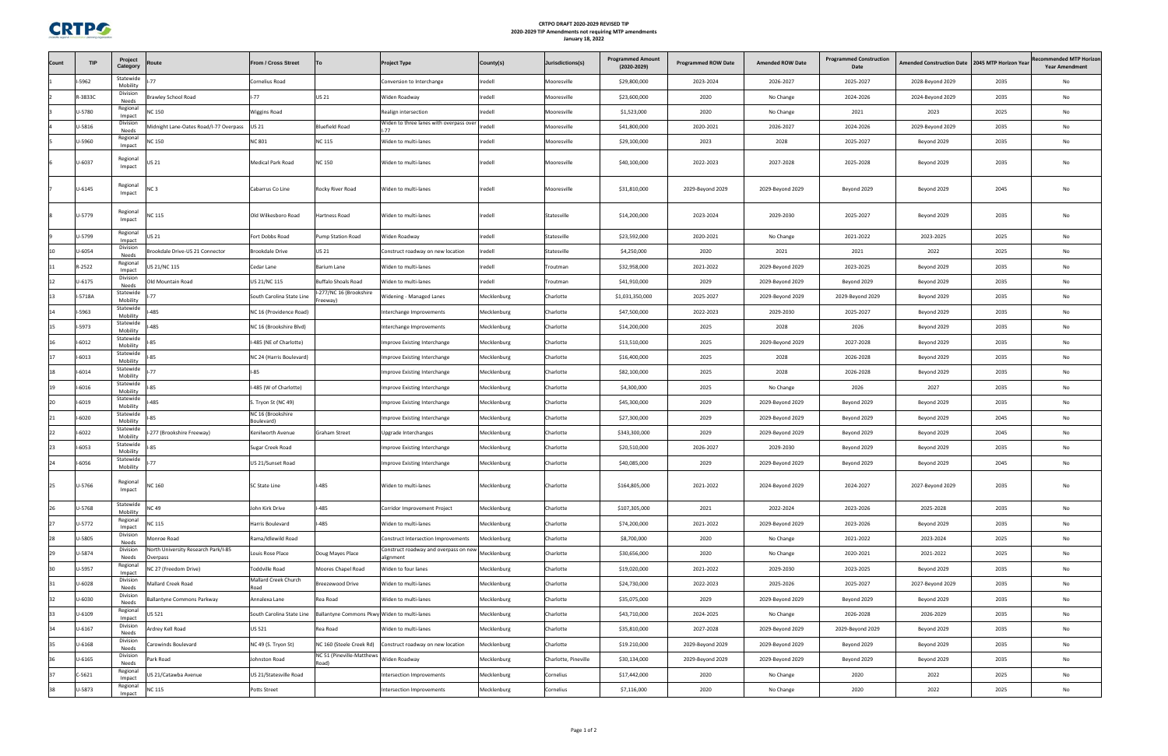

### **CRTPO DRAFT 2020‐2029 REVISED TIP 2020‐2029 TIP Amendments not requiring MTP amendments January 18, 2022**

| Statewide<br>-5962<br><b>Cornelius Road</b><br>redell<br>\$29,800,000<br>2023-2024<br>2026-2027<br>2025-2027<br>2035<br>No<br>Conversion to Interchange<br>Mooresville<br>2028-Beyond 2029<br>Mobility<br>Division<br>US 21<br>Iredell<br>R-3833C<br>$1 - 77$<br>\$23,600,000<br>2020<br>2024-2026<br>Widen Roadway<br>2035<br>No<br>rawley School Road<br>Mooresville<br>No Change<br>2024-Beyond 2029<br>Needs<br>Regional<br>U-5780<br>NC 150<br>redell<br>2025<br><b>Wiggins Road</b><br>\$1,523,000<br>2020<br>No Change<br>2021<br>2023<br>No<br>Realign intersection<br>Mooresville<br>Impact<br>Division<br>Widen to three lanes with overpass over<br>U-5816<br>redell<br>No<br>Aidnight Lane-Oates Road/I-77 Overpass<br>US 21<br><b>Iluefield Road</b><br>\$41,800,000<br>2024-2026<br>2035<br>Mooresville<br>2020-2021<br>2026-2027<br>2029-Beyond 2029<br>$-77$<br>Needs<br>Regional<br>U-5960<br><b>NC 801</b><br>redell<br><b>IC 150</b><br><b>NC 115</b><br>2023<br>2028<br>2025-2027<br>2035<br>No<br>Widen to multi-lanes<br>\$29,100,000<br>Beyond 2029<br>Mooresville<br>Impact<br>Regional<br>U-6037<br><b>NC 150</b><br>2035<br>IS 21<br>Medical Park Road<br>Iredell<br>\$40,100,000<br>2022-2023<br>2027-2028<br>2025-2028<br>No<br>Widen to multi-lanes<br>Mooresville<br>Beyond 2029<br>Impact<br>Regional<br>$U - 6145$<br>Iredell<br>\$31,810,000<br>2045<br>Cabarrus Co Line<br>Rocky River Road<br>2029-Beyond 2029<br>No<br>JC 3<br>Widen to multi-lanes<br>Mooresville<br>2029-Beyond 2029<br>Beyond 2029<br>Beyond 2029<br>Impact<br>Regional<br>U-5779<br>Iredell<br>2023-2024<br>2035<br><b>NC 115</b><br>Old Wilkesboro Road<br>Hartness Road<br>Statesville<br>\$14,200,000<br>2029-2030<br>2025-2027<br>No<br>Widen to multi-lanes<br>Beyond 2029<br>Impact<br>Regional<br>U-5799<br>redell<br>Widen Roadway<br>\$23,592,000<br>2020-2021<br>2021-2022<br>2023-2025<br>2025<br>No<br>IS 21<br>Fort Dobbs Road<br>ump Station Road<br>Statesville<br>No Change<br>Impact<br>Division<br>U-6054<br>\$4,250,000<br>10<br>rookdale Drive-US 21 Connector<br><b>Brookdale Drive</b><br>US 21<br>redell<br>2020<br>2021<br>2021<br>2022<br>2025<br>No<br>Statesville<br>Construct roadway on new location<br>Needs<br>Regional<br>R-2522<br>IS 21/NC 115<br>Iredell<br>2035<br>11<br>Cedar Lane<br>Barium Lane<br>Widen to multi-lanes<br>Troutman<br>\$32,958,000<br>2021-2022<br>2029-Beyond 2029<br>2023-2025<br>Beyond 2029<br>No<br>Impact<br>Division<br>redell<br>12<br>$U - 6175$<br>US 21/NC 115<br>2029<br>2035<br>Old Mountain Road<br>Buffalo Shoals Road<br>\$41,910,000<br>2029-Beyond 2029<br>Beyond 2029<br>No<br>Widen to multi-lanes<br>Troutman<br>Beyond 2029<br>Needs<br>-277/NC 16 (Brookshire<br>Statewide<br>I-5718A<br>South Carolina State Line<br>13<br>Widening - Managed Lanes<br>Mecklenburg<br>Charlotte<br>\$1,031,350,000<br>2025-2027<br>2029-Beyond 2029<br>2029-Beyond 2029<br>Beyond 2029<br>2035<br>No<br>Mobility<br>reeway)<br>Statewide<br>$1-5963$<br>485<br>No<br>14<br>NC 16 (Providence Road)<br>\$47,500,000<br>2022-2023<br>2029-2030<br>2025-2027<br>2035<br>Interchange Improvements<br>Mecklenburg<br>Charlotte<br>Beyond 2029<br>Mobility<br>Statewide<br>I-5973<br>485<br>\$14,200,000<br>2025<br>2026<br>2035<br>15<br>NC 16 (Brookshire Blvd)<br>Mecklenburg<br>Charlotte<br>2028<br>Beyond 2029<br>No<br>Interchange Improvements<br>Mobility<br>Statewide<br>16<br>$1 - 6012$<br>-485 (NE of Charlotte)<br>2025<br>2027-2028<br>2035<br>85<br>Mecklenburg<br>\$13,510,000<br>2029-Beyond 2029<br>Beyond 2029<br>No<br>Improve Existing Interchange<br>Charlotte<br>Mobility<br>Statewide<br>$1 - 6013$<br>17<br>85<br>\$16,400,000<br>2025<br>2028<br>2026-2028<br>2035<br>No<br>NC 24 (Harris Boulevard)<br>Mecklenburg<br>Charlotte<br>Beyond 2029<br>Improve Existing Interchange<br>Mobility<br>Statewide<br>$1 - 6014$<br>2028<br>$1 - 85$<br>\$82,100,000<br>2025<br>2026-2028<br>2035<br>18<br>Beyond 2029<br>No<br>mprove Existing Interchange<br>Mecklenburg<br>Charlotte<br>Mobility<br>Statewide<br>19<br>$-6016$<br>I-485 (W of Charlotte)<br>\$4,300,000<br>2025<br>2026<br>2027<br>2035<br>No<br>85<br>Mecklenburg<br>No Change<br>Improve Existing Interchange<br>Charlotte<br>Mobility<br>Statewide<br>20<br>$-6019$<br>485<br>S. Tryon St (NC 49)<br>Mecklenburg<br>Charlotte<br>\$45,300,000<br>2029<br>2029-Beyond 2029<br>2035<br>No<br>Improve Existing Interchange<br>Beyond 2029<br>Beyond 2029<br>Mobility<br>Statewide<br>NC 16 (Brookshire<br>$1 - 6020$<br>\$27,300,000<br>2029<br>2045<br>No<br>21<br>85<br>2029-Beyond 2029<br>Beyond 2029<br>Beyond 2029<br>Improve Existing Interchange<br>Mecklenburg<br>Charlotte<br>Mobility<br>Boulevard)<br>Statewide<br>$-6022$<br>277 (Brookshire Freeway)<br>22<br>Kenilworth Avenue<br>Graham Street<br>Mecklenburg<br>Charlotte<br>\$343,300,000<br>2029<br>2029-Beyond 2029<br>Beyond 2029<br>2045<br>No<br>Upgrade Interchanges<br>Beyond 2029<br>Mobility<br>Statewide<br>$-6053$<br>\$20,510,000<br>2029-2030<br>2035<br>No<br>23<br>Sugar Creek Road<br>mprove Existing Interchange<br>Mecklenburg<br>Charlotte<br>2026-2027<br>Beyond 2029<br>Beyond 2029<br>Mobility<br>Statewide<br>24<br>I-6056<br>\$40,085,000<br>US 21/Sunset Road<br>Mecklenburg<br>Charlotte<br>2029<br>2029-Beyond 2029<br>Beyond 2029<br>Beyond 2029<br>2045<br>No<br>Improve Existing Interchange<br>Mobility<br>Regional<br>U-5766<br><b>NC 160</b><br>SC State Line<br>l-485<br>Widen to multi-lanes<br>Mecklenburg<br>Charlotte<br>\$164,805,000<br>2021-2022<br>2024-Beyond 2029<br>2024-2027<br>2027-Beyond 2029<br>2035<br>No<br>Impact<br>Statewide<br><b>NC 49</b><br>$-485$<br>U-5768<br>\$107,305,000<br>2021<br>2022-2024<br>2023-2026<br>2025-2028<br>2035<br>John Kirk Drive<br>Corridor Improvement Project<br>Mecklenburg<br>Charlotte<br>No<br>Mobility<br>Regional<br>U-5772<br>-485<br>NC 115<br>2023-2026<br>Harris Boulevard<br>Widen to multi-lanes<br>Mecklenburg<br>\$74,200,000<br>2021-2022<br>2029-Beyond 2029<br>2035<br>No<br>Charlotte<br>Beyond 2029<br>Impact<br>Division<br>U-5805<br>\$8,700,000<br>2020<br><b>Monroe Road</b><br>Rama/Idlewild Road<br>Mecklenburg<br>Charlotte<br>No Change<br>2021-2022<br>2023-2024<br>2025<br>No<br>Construct Intersection Improvements<br>Needs<br>North University Research Park/I-85<br>Division<br>Construct roadway and overpass on new Mecklenburg<br>U-5874<br>Doug Mayes Place<br>\$30,656,000<br>2020<br>2020-2021<br>2021-2022<br>2025<br>No<br>Louis Rose Place<br>Charlotte<br>No Change<br><b>Overpass</b><br>alignment<br>Needs<br>Regional<br>U-5957<br><b>Toddville Road</b><br>No<br>IC 27 (Freedom Drive)<br><b>Moores Chapel Road</b><br>Widen to four lanes<br>Mecklenburg<br>Charlotte<br>\$19,020,000<br>2021-2022<br>2029-2030<br>2023-2025<br>Beyond 2029<br>2035<br>Impact<br>Mallard Creek Church<br>Division<br>U-6028<br>Mallard Creek Road<br>\$24,730,000<br>2022-2023<br>2025-2026<br>2025-2027<br>No<br>Breezewood Drive<br>Widen to multi-lanes<br>Mecklenburg<br>Charlotte<br>2027-Beyond 2029<br>2035<br>Needs<br>Road<br>Division<br>U-6030<br><b>Ballantyne Commons Parkway</b><br>Annalexa Lane<br>Rea Road<br>\$35,075,000<br>2029<br>2035<br>No<br>Widen to multi-lanes<br>Mecklenburg<br>Charlotte<br>2029-Beyond 2029<br>Beyond 2029<br>Beyond 2029<br>Needs<br>Regional<br>U-6109<br>JS 521<br>South Carolina State Line<br>Ballantyne Commons Pkwy Widen to multi-lanes<br>Mecklenburg<br>Charlotte<br>\$43,710,000<br>2024-2025<br>2026-2028<br>2026-2029<br>2035<br>No<br>No Change<br>Impact<br>Division<br>U-6167<br>US 521<br>Rea Road<br>\$35,810,000<br>2027-2028<br>2035<br>No<br>Ardrey Kell Road<br>Widen to multi-lanes<br>Mecklenburg<br>2029-Beyond 2029<br>2029-Beyond 2029<br>Beyond 2029<br>Charlotte<br>Needs<br>Division<br>U-6168<br>NC 49 (S. Tryon St)<br>No<br>arowinds Boulevard<br>NC 160 (Steele Creek Rd)<br>Construct roadway on new location<br>Mecklenburg<br>Charlotte<br>\$19.210,000<br>2029-Beyond 2029<br>2029-Beyond 2029<br>Beyond 2029<br>Beyond 2029<br>2035<br>Needs<br>NC 51 (Pineville-Matthews<br>Division<br>36<br>$U - 6165$<br>ark Road<br>Johnston Road<br>Widen Roadway<br>No<br>Mecklenburg<br>Charlotte, Pineville<br>\$30,134,000<br>2029-Beyond 2029<br>2029-Beyond 2029<br>2035<br>Beyond 2029<br>Beyond 2029<br>Road)<br>Needs<br>Regional<br>37<br>$C-5621$<br>S 21/Catawba Avenue<br>US 21/Statesville Road<br>Intersection Improvements<br>Mecklenburg<br>Cornelius<br>\$17,442,000<br>2020<br>No Change<br>2020<br>2022<br>2025<br>No<br>Impact<br>Regional<br>U-5873<br>2020<br>2022<br>2025<br>No<br>2020<br>NC 115<br>Potts Street<br>Mecklenburg<br>Cornelius<br>\$7,116,000<br>No Change<br>Intersection Improvements | Count | <b>TIP</b> | Project<br>Category | Route | From / Cross Street | <b>Project Type</b> | County(s) | Jurisdictions(s) | <b>Programmed Amount</b><br>$(2020 - 2029)$ | <b>Programmed ROW Date</b> | <b>Amended ROW Date</b> | <b>Programmed Construction</b><br>Date | <b>Amended Construction Date</b> | 2045 MTP Horizon Year | <b>Recommended MTP Horizon</b><br><b>Year Amendment</b> |
|--------------------------------------------------------------------------------------------------------------------------------------------------------------------------------------------------------------------------------------------------------------------------------------------------------------------------------------------------------------------------------------------------------------------------------------------------------------------------------------------------------------------------------------------------------------------------------------------------------------------------------------------------------------------------------------------------------------------------------------------------------------------------------------------------------------------------------------------------------------------------------------------------------------------------------------------------------------------------------------------------------------------------------------------------------------------------------------------------------------------------------------------------------------------------------------------------------------------------------------------------------------------------------------------------------------------------------------------------------------------------------------------------------------------------------------------------------------------------------------------------------------------------------------------------------------------------------------------------------------------------------------------------------------------------------------------------------------------------------------------------------------------------------------------------------------------------------------------------------------------------------------------------------------------------------------------------------------------------------------------------------------------------------------------------------------------------------------------------------------------------------------------------------------------------------------------------------------------------------------------------------------------------------------------------------------------------------------------------------------------------------------------------------------------------------------------------------------------------------------------------------------------------------------------------------------------------------------------------------------------------------------------------------------------------------------------------------------------------------------------------------------------------------------------------------------------------------------------------------------------------------------------------------------------------------------------------------------------------------------------------------------------------------------------------------------------------------------------------------------------------------------------------------------------------------------------------------------------------------------------------------------------------------------------------------------------------------------------------------------------------------------------------------------------------------------------------------------------------------------------------------------------------------------------------------------------------------------------------------------------------------------------------------------------------------------------------------------------------------------------------------------------------------------------------------------------------------------------------------------------------------------------------------------------------------------------------------------------------------------------------------------------------------------------------------------------------------------------------------------------------------------------------------------------------------------------------------------------------------------------------------------------------------------------------------------------------------------------------------------------------------------------------------------------------------------------------------------------------------------------------------------------------------------------------------------------------------------------------------------------------------------------------------------------------------------------------------------------------------------------------------------------------------------------------------------------------------------------------------------------------------------------------------------------------------------------------------------------------------------------------------------------------------------------------------------------------------------------------------------------------------------------------------------------------------------------------------------------------------------------------------------------------------------------------------------------------------------------------------------------------------------------------------------------------------------------------------------------------------------------------------------------------------------------------------------------------------------------------------------------------------------------------------------------------------------------------------------------------------------------------------------------------------------------------------------------------------------------------------------------------------------------------------------------------------------------------------------------------------------------------------------------------------------------------------------------------------------------------------------------------------------------------------------------------------------------------------------------------------------------------------------------------------------------------------------------------------------------------------------------------------------------------------------------------------------------------------------------------------------------------------------------------------------------------------------------------------------------------------------------------------------------------------------------------------------------------------------------------------------------------------------------------------------------------------------------------------------------------------------------------------------------------------------------------------------------------------------------------------------------------------------------------------------------------------------------------------------------------------------------------------------------------------------------------------------------------------------------------------------------------------------------------------------------------------------------------------------------------------------------------------------------------------------------------------------------------------------------------------------------------------------------------------------------------------------------------------------------------------------------------------------------------------------------------------------------------------------------------------------------------------------------------------------------------------------------------------------------------------------------------------------------------------------------------------------------------------------------------------------------------------------------------------------------------------------------------------------------------------------------------------------------------------------------------------------------------------------------------------------------------------------------------------------------------------------------------------------------------------------------------------------------------------------------------------------------------------------------------------------------------------------------------------------------------------------------------------------------------------------------------------------------------------------------------------------------------------------------------------------------------------------------------------------------------------------------------------------------------------|-------|------------|---------------------|-------|---------------------|---------------------|-----------|------------------|---------------------------------------------|----------------------------|-------------------------|----------------------------------------|----------------------------------|-----------------------|---------------------------------------------------------|
|                                                                                                                                                                                                                                                                                                                                                                                                                                                                                                                                                                                                                                                                                                                                                                                                                                                                                                                                                                                                                                                                                                                                                                                                                                                                                                                                                                                                                                                                                                                                                                                                                                                                                                                                                                                                                                                                                                                                                                                                                                                                                                                                                                                                                                                                                                                                                                                                                                                                                                                                                                                                                                                                                                                                                                                                                                                                                                                                                                                                                                                                                                                                                                                                                                                                                                                                                                                                                                                                                                                                                                                                                                                                                                                                                                                                                                                                                                                                                                                                                                                                                                                                                                                                                                                                                                                                                                                                                                                                                                                                                                                                                                                                                                                                                                                                                                                                                                                                                                                                                                                                                                                                                                                                                                                                                                                                                                                                                                                                                                                                                                                                                                                                                                                                                                                                                                                                                                                                                                                                                                                                                                                                                                                                                                                                                                                                                                                                                                                                                                                                                                                                                                                                                                                                                                                                                                                                                                                                                                                                                                                                                                                                                                                                                                                                                                                                                                                                                                                                                                                                                                                                                                                                                                                                                                                                                                                                                                                                                                                                                                                                                                                                                                                                                                                                                                                                                                                                                                                                                                                                                                                                                                                                                                                                                                                                                                                        |       |            |                     |       |                     |                     |           |                  |                                             |                            |                         |                                        |                                  |                       |                                                         |
|                                                                                                                                                                                                                                                                                                                                                                                                                                                                                                                                                                                                                                                                                                                                                                                                                                                                                                                                                                                                                                                                                                                                                                                                                                                                                                                                                                                                                                                                                                                                                                                                                                                                                                                                                                                                                                                                                                                                                                                                                                                                                                                                                                                                                                                                                                                                                                                                                                                                                                                                                                                                                                                                                                                                                                                                                                                                                                                                                                                                                                                                                                                                                                                                                                                                                                                                                                                                                                                                                                                                                                                                                                                                                                                                                                                                                                                                                                                                                                                                                                                                                                                                                                                                                                                                                                                                                                                                                                                                                                                                                                                                                                                                                                                                                                                                                                                                                                                                                                                                                                                                                                                                                                                                                                                                                                                                                                                                                                                                                                                                                                                                                                                                                                                                                                                                                                                                                                                                                                                                                                                                                                                                                                                                                                                                                                                                                                                                                                                                                                                                                                                                                                                                                                                                                                                                                                                                                                                                                                                                                                                                                                                                                                                                                                                                                                                                                                                                                                                                                                                                                                                                                                                                                                                                                                                                                                                                                                                                                                                                                                                                                                                                                                                                                                                                                                                                                                                                                                                                                                                                                                                                                                                                                                                                                                                                                                                        |       |            |                     |       |                     |                     |           |                  |                                             |                            |                         |                                        |                                  |                       |                                                         |
|                                                                                                                                                                                                                                                                                                                                                                                                                                                                                                                                                                                                                                                                                                                                                                                                                                                                                                                                                                                                                                                                                                                                                                                                                                                                                                                                                                                                                                                                                                                                                                                                                                                                                                                                                                                                                                                                                                                                                                                                                                                                                                                                                                                                                                                                                                                                                                                                                                                                                                                                                                                                                                                                                                                                                                                                                                                                                                                                                                                                                                                                                                                                                                                                                                                                                                                                                                                                                                                                                                                                                                                                                                                                                                                                                                                                                                                                                                                                                                                                                                                                                                                                                                                                                                                                                                                                                                                                                                                                                                                                                                                                                                                                                                                                                                                                                                                                                                                                                                                                                                                                                                                                                                                                                                                                                                                                                                                                                                                                                                                                                                                                                                                                                                                                                                                                                                                                                                                                                                                                                                                                                                                                                                                                                                                                                                                                                                                                                                                                                                                                                                                                                                                                                                                                                                                                                                                                                                                                                                                                                                                                                                                                                                                                                                                                                                                                                                                                                                                                                                                                                                                                                                                                                                                                                                                                                                                                                                                                                                                                                                                                                                                                                                                                                                                                                                                                                                                                                                                                                                                                                                                                                                                                                                                                                                                                                                                        |       |            |                     |       |                     |                     |           |                  |                                             |                            |                         |                                        |                                  |                       |                                                         |
|                                                                                                                                                                                                                                                                                                                                                                                                                                                                                                                                                                                                                                                                                                                                                                                                                                                                                                                                                                                                                                                                                                                                                                                                                                                                                                                                                                                                                                                                                                                                                                                                                                                                                                                                                                                                                                                                                                                                                                                                                                                                                                                                                                                                                                                                                                                                                                                                                                                                                                                                                                                                                                                                                                                                                                                                                                                                                                                                                                                                                                                                                                                                                                                                                                                                                                                                                                                                                                                                                                                                                                                                                                                                                                                                                                                                                                                                                                                                                                                                                                                                                                                                                                                                                                                                                                                                                                                                                                                                                                                                                                                                                                                                                                                                                                                                                                                                                                                                                                                                                                                                                                                                                                                                                                                                                                                                                                                                                                                                                                                                                                                                                                                                                                                                                                                                                                                                                                                                                                                                                                                                                                                                                                                                                                                                                                                                                                                                                                                                                                                                                                                                                                                                                                                                                                                                                                                                                                                                                                                                                                                                                                                                                                                                                                                                                                                                                                                                                                                                                                                                                                                                                                                                                                                                                                                                                                                                                                                                                                                                                                                                                                                                                                                                                                                                                                                                                                                                                                                                                                                                                                                                                                                                                                                                                                                                                                                        |       |            |                     |       |                     |                     |           |                  |                                             |                            |                         |                                        |                                  |                       |                                                         |
|                                                                                                                                                                                                                                                                                                                                                                                                                                                                                                                                                                                                                                                                                                                                                                                                                                                                                                                                                                                                                                                                                                                                                                                                                                                                                                                                                                                                                                                                                                                                                                                                                                                                                                                                                                                                                                                                                                                                                                                                                                                                                                                                                                                                                                                                                                                                                                                                                                                                                                                                                                                                                                                                                                                                                                                                                                                                                                                                                                                                                                                                                                                                                                                                                                                                                                                                                                                                                                                                                                                                                                                                                                                                                                                                                                                                                                                                                                                                                                                                                                                                                                                                                                                                                                                                                                                                                                                                                                                                                                                                                                                                                                                                                                                                                                                                                                                                                                                                                                                                                                                                                                                                                                                                                                                                                                                                                                                                                                                                                                                                                                                                                                                                                                                                                                                                                                                                                                                                                                                                                                                                                                                                                                                                                                                                                                                                                                                                                                                                                                                                                                                                                                                                                                                                                                                                                                                                                                                                                                                                                                                                                                                                                                                                                                                                                                                                                                                                                                                                                                                                                                                                                                                                                                                                                                                                                                                                                                                                                                                                                                                                                                                                                                                                                                                                                                                                                                                                                                                                                                                                                                                                                                                                                                                                                                                                                                                        |       |            |                     |       |                     |                     |           |                  |                                             |                            |                         |                                        |                                  |                       |                                                         |
|                                                                                                                                                                                                                                                                                                                                                                                                                                                                                                                                                                                                                                                                                                                                                                                                                                                                                                                                                                                                                                                                                                                                                                                                                                                                                                                                                                                                                                                                                                                                                                                                                                                                                                                                                                                                                                                                                                                                                                                                                                                                                                                                                                                                                                                                                                                                                                                                                                                                                                                                                                                                                                                                                                                                                                                                                                                                                                                                                                                                                                                                                                                                                                                                                                                                                                                                                                                                                                                                                                                                                                                                                                                                                                                                                                                                                                                                                                                                                                                                                                                                                                                                                                                                                                                                                                                                                                                                                                                                                                                                                                                                                                                                                                                                                                                                                                                                                                                                                                                                                                                                                                                                                                                                                                                                                                                                                                                                                                                                                                                                                                                                                                                                                                                                                                                                                                                                                                                                                                                                                                                                                                                                                                                                                                                                                                                                                                                                                                                                                                                                                                                                                                                                                                                                                                                                                                                                                                                                                                                                                                                                                                                                                                                                                                                                                                                                                                                                                                                                                                                                                                                                                                                                                                                                                                                                                                                                                                                                                                                                                                                                                                                                                                                                                                                                                                                                                                                                                                                                                                                                                                                                                                                                                                                                                                                                                                                        |       |            |                     |       |                     |                     |           |                  |                                             |                            |                         |                                        |                                  |                       |                                                         |
|                                                                                                                                                                                                                                                                                                                                                                                                                                                                                                                                                                                                                                                                                                                                                                                                                                                                                                                                                                                                                                                                                                                                                                                                                                                                                                                                                                                                                                                                                                                                                                                                                                                                                                                                                                                                                                                                                                                                                                                                                                                                                                                                                                                                                                                                                                                                                                                                                                                                                                                                                                                                                                                                                                                                                                                                                                                                                                                                                                                                                                                                                                                                                                                                                                                                                                                                                                                                                                                                                                                                                                                                                                                                                                                                                                                                                                                                                                                                                                                                                                                                                                                                                                                                                                                                                                                                                                                                                                                                                                                                                                                                                                                                                                                                                                                                                                                                                                                                                                                                                                                                                                                                                                                                                                                                                                                                                                                                                                                                                                                                                                                                                                                                                                                                                                                                                                                                                                                                                                                                                                                                                                                                                                                                                                                                                                                                                                                                                                                                                                                                                                                                                                                                                                                                                                                                                                                                                                                                                                                                                                                                                                                                                                                                                                                                                                                                                                                                                                                                                                                                                                                                                                                                                                                                                                                                                                                                                                                                                                                                                                                                                                                                                                                                                                                                                                                                                                                                                                                                                                                                                                                                                                                                                                                                                                                                                                                        |       |            |                     |       |                     |                     |           |                  |                                             |                            |                         |                                        |                                  |                       |                                                         |
|                                                                                                                                                                                                                                                                                                                                                                                                                                                                                                                                                                                                                                                                                                                                                                                                                                                                                                                                                                                                                                                                                                                                                                                                                                                                                                                                                                                                                                                                                                                                                                                                                                                                                                                                                                                                                                                                                                                                                                                                                                                                                                                                                                                                                                                                                                                                                                                                                                                                                                                                                                                                                                                                                                                                                                                                                                                                                                                                                                                                                                                                                                                                                                                                                                                                                                                                                                                                                                                                                                                                                                                                                                                                                                                                                                                                                                                                                                                                                                                                                                                                                                                                                                                                                                                                                                                                                                                                                                                                                                                                                                                                                                                                                                                                                                                                                                                                                                                                                                                                                                                                                                                                                                                                                                                                                                                                                                                                                                                                                                                                                                                                                                                                                                                                                                                                                                                                                                                                                                                                                                                                                                                                                                                                                                                                                                                                                                                                                                                                                                                                                                                                                                                                                                                                                                                                                                                                                                                                                                                                                                                                                                                                                                                                                                                                                                                                                                                                                                                                                                                                                                                                                                                                                                                                                                                                                                                                                                                                                                                                                                                                                                                                                                                                                                                                                                                                                                                                                                                                                                                                                                                                                                                                                                                                                                                                                                                        |       |            |                     |       |                     |                     |           |                  |                                             |                            |                         |                                        |                                  |                       |                                                         |
|                                                                                                                                                                                                                                                                                                                                                                                                                                                                                                                                                                                                                                                                                                                                                                                                                                                                                                                                                                                                                                                                                                                                                                                                                                                                                                                                                                                                                                                                                                                                                                                                                                                                                                                                                                                                                                                                                                                                                                                                                                                                                                                                                                                                                                                                                                                                                                                                                                                                                                                                                                                                                                                                                                                                                                                                                                                                                                                                                                                                                                                                                                                                                                                                                                                                                                                                                                                                                                                                                                                                                                                                                                                                                                                                                                                                                                                                                                                                                                                                                                                                                                                                                                                                                                                                                                                                                                                                                                                                                                                                                                                                                                                                                                                                                                                                                                                                                                                                                                                                                                                                                                                                                                                                                                                                                                                                                                                                                                                                                                                                                                                                                                                                                                                                                                                                                                                                                                                                                                                                                                                                                                                                                                                                                                                                                                                                                                                                                                                                                                                                                                                                                                                                                                                                                                                                                                                                                                                                                                                                                                                                                                                                                                                                                                                                                                                                                                                                                                                                                                                                                                                                                                                                                                                                                                                                                                                                                                                                                                                                                                                                                                                                                                                                                                                                                                                                                                                                                                                                                                                                                                                                                                                                                                                                                                                                                                                        |       |            |                     |       |                     |                     |           |                  |                                             |                            |                         |                                        |                                  |                       |                                                         |
|                                                                                                                                                                                                                                                                                                                                                                                                                                                                                                                                                                                                                                                                                                                                                                                                                                                                                                                                                                                                                                                                                                                                                                                                                                                                                                                                                                                                                                                                                                                                                                                                                                                                                                                                                                                                                                                                                                                                                                                                                                                                                                                                                                                                                                                                                                                                                                                                                                                                                                                                                                                                                                                                                                                                                                                                                                                                                                                                                                                                                                                                                                                                                                                                                                                                                                                                                                                                                                                                                                                                                                                                                                                                                                                                                                                                                                                                                                                                                                                                                                                                                                                                                                                                                                                                                                                                                                                                                                                                                                                                                                                                                                                                                                                                                                                                                                                                                                                                                                                                                                                                                                                                                                                                                                                                                                                                                                                                                                                                                                                                                                                                                                                                                                                                                                                                                                                                                                                                                                                                                                                                                                                                                                                                                                                                                                                                                                                                                                                                                                                                                                                                                                                                                                                                                                                                                                                                                                                                                                                                                                                                                                                                                                                                                                                                                                                                                                                                                                                                                                                                                                                                                                                                                                                                                                                                                                                                                                                                                                                                                                                                                                                                                                                                                                                                                                                                                                                                                                                                                                                                                                                                                                                                                                                                                                                                                                                        |       |            |                     |       |                     |                     |           |                  |                                             |                            |                         |                                        |                                  |                       |                                                         |
|                                                                                                                                                                                                                                                                                                                                                                                                                                                                                                                                                                                                                                                                                                                                                                                                                                                                                                                                                                                                                                                                                                                                                                                                                                                                                                                                                                                                                                                                                                                                                                                                                                                                                                                                                                                                                                                                                                                                                                                                                                                                                                                                                                                                                                                                                                                                                                                                                                                                                                                                                                                                                                                                                                                                                                                                                                                                                                                                                                                                                                                                                                                                                                                                                                                                                                                                                                                                                                                                                                                                                                                                                                                                                                                                                                                                                                                                                                                                                                                                                                                                                                                                                                                                                                                                                                                                                                                                                                                                                                                                                                                                                                                                                                                                                                                                                                                                                                                                                                                                                                                                                                                                                                                                                                                                                                                                                                                                                                                                                                                                                                                                                                                                                                                                                                                                                                                                                                                                                                                                                                                                                                                                                                                                                                                                                                                                                                                                                                                                                                                                                                                                                                                                                                                                                                                                                                                                                                                                                                                                                                                                                                                                                                                                                                                                                                                                                                                                                                                                                                                                                                                                                                                                                                                                                                                                                                                                                                                                                                                                                                                                                                                                                                                                                                                                                                                                                                                                                                                                                                                                                                                                                                                                                                                                                                                                                                                        |       |            |                     |       |                     |                     |           |                  |                                             |                            |                         |                                        |                                  |                       |                                                         |
|                                                                                                                                                                                                                                                                                                                                                                                                                                                                                                                                                                                                                                                                                                                                                                                                                                                                                                                                                                                                                                                                                                                                                                                                                                                                                                                                                                                                                                                                                                                                                                                                                                                                                                                                                                                                                                                                                                                                                                                                                                                                                                                                                                                                                                                                                                                                                                                                                                                                                                                                                                                                                                                                                                                                                                                                                                                                                                                                                                                                                                                                                                                                                                                                                                                                                                                                                                                                                                                                                                                                                                                                                                                                                                                                                                                                                                                                                                                                                                                                                                                                                                                                                                                                                                                                                                                                                                                                                                                                                                                                                                                                                                                                                                                                                                                                                                                                                                                                                                                                                                                                                                                                                                                                                                                                                                                                                                                                                                                                                                                                                                                                                                                                                                                                                                                                                                                                                                                                                                                                                                                                                                                                                                                                                                                                                                                                                                                                                                                                                                                                                                                                                                                                                                                                                                                                                                                                                                                                                                                                                                                                                                                                                                                                                                                                                                                                                                                                                                                                                                                                                                                                                                                                                                                                                                                                                                                                                                                                                                                                                                                                                                                                                                                                                                                                                                                                                                                                                                                                                                                                                                                                                                                                                                                                                                                                                                                        |       |            |                     |       |                     |                     |           |                  |                                             |                            |                         |                                        |                                  |                       |                                                         |
|                                                                                                                                                                                                                                                                                                                                                                                                                                                                                                                                                                                                                                                                                                                                                                                                                                                                                                                                                                                                                                                                                                                                                                                                                                                                                                                                                                                                                                                                                                                                                                                                                                                                                                                                                                                                                                                                                                                                                                                                                                                                                                                                                                                                                                                                                                                                                                                                                                                                                                                                                                                                                                                                                                                                                                                                                                                                                                                                                                                                                                                                                                                                                                                                                                                                                                                                                                                                                                                                                                                                                                                                                                                                                                                                                                                                                                                                                                                                                                                                                                                                                                                                                                                                                                                                                                                                                                                                                                                                                                                                                                                                                                                                                                                                                                                                                                                                                                                                                                                                                                                                                                                                                                                                                                                                                                                                                                                                                                                                                                                                                                                                                                                                                                                                                                                                                                                                                                                                                                                                                                                                                                                                                                                                                                                                                                                                                                                                                                                                                                                                                                                                                                                                                                                                                                                                                                                                                                                                                                                                                                                                                                                                                                                                                                                                                                                                                                                                                                                                                                                                                                                                                                                                                                                                                                                                                                                                                                                                                                                                                                                                                                                                                                                                                                                                                                                                                                                                                                                                                                                                                                                                                                                                                                                                                                                                                                                        |       |            |                     |       |                     |                     |           |                  |                                             |                            |                         |                                        |                                  |                       |                                                         |
|                                                                                                                                                                                                                                                                                                                                                                                                                                                                                                                                                                                                                                                                                                                                                                                                                                                                                                                                                                                                                                                                                                                                                                                                                                                                                                                                                                                                                                                                                                                                                                                                                                                                                                                                                                                                                                                                                                                                                                                                                                                                                                                                                                                                                                                                                                                                                                                                                                                                                                                                                                                                                                                                                                                                                                                                                                                                                                                                                                                                                                                                                                                                                                                                                                                                                                                                                                                                                                                                                                                                                                                                                                                                                                                                                                                                                                                                                                                                                                                                                                                                                                                                                                                                                                                                                                                                                                                                                                                                                                                                                                                                                                                                                                                                                                                                                                                                                                                                                                                                                                                                                                                                                                                                                                                                                                                                                                                                                                                                                                                                                                                                                                                                                                                                                                                                                                                                                                                                                                                                                                                                                                                                                                                                                                                                                                                                                                                                                                                                                                                                                                                                                                                                                                                                                                                                                                                                                                                                                                                                                                                                                                                                                                                                                                                                                                                                                                                                                                                                                                                                                                                                                                                                                                                                                                                                                                                                                                                                                                                                                                                                                                                                                                                                                                                                                                                                                                                                                                                                                                                                                                                                                                                                                                                                                                                                                                                        |       |            |                     |       |                     |                     |           |                  |                                             |                            |                         |                                        |                                  |                       |                                                         |
|                                                                                                                                                                                                                                                                                                                                                                                                                                                                                                                                                                                                                                                                                                                                                                                                                                                                                                                                                                                                                                                                                                                                                                                                                                                                                                                                                                                                                                                                                                                                                                                                                                                                                                                                                                                                                                                                                                                                                                                                                                                                                                                                                                                                                                                                                                                                                                                                                                                                                                                                                                                                                                                                                                                                                                                                                                                                                                                                                                                                                                                                                                                                                                                                                                                                                                                                                                                                                                                                                                                                                                                                                                                                                                                                                                                                                                                                                                                                                                                                                                                                                                                                                                                                                                                                                                                                                                                                                                                                                                                                                                                                                                                                                                                                                                                                                                                                                                                                                                                                                                                                                                                                                                                                                                                                                                                                                                                                                                                                                                                                                                                                                                                                                                                                                                                                                                                                                                                                                                                                                                                                                                                                                                                                                                                                                                                                                                                                                                                                                                                                                                                                                                                                                                                                                                                                                                                                                                                                                                                                                                                                                                                                                                                                                                                                                                                                                                                                                                                                                                                                                                                                                                                                                                                                                                                                                                                                                                                                                                                                                                                                                                                                                                                                                                                                                                                                                                                                                                                                                                                                                                                                                                                                                                                                                                                                                                                        |       |            |                     |       |                     |                     |           |                  |                                             |                            |                         |                                        |                                  |                       |                                                         |
|                                                                                                                                                                                                                                                                                                                                                                                                                                                                                                                                                                                                                                                                                                                                                                                                                                                                                                                                                                                                                                                                                                                                                                                                                                                                                                                                                                                                                                                                                                                                                                                                                                                                                                                                                                                                                                                                                                                                                                                                                                                                                                                                                                                                                                                                                                                                                                                                                                                                                                                                                                                                                                                                                                                                                                                                                                                                                                                                                                                                                                                                                                                                                                                                                                                                                                                                                                                                                                                                                                                                                                                                                                                                                                                                                                                                                                                                                                                                                                                                                                                                                                                                                                                                                                                                                                                                                                                                                                                                                                                                                                                                                                                                                                                                                                                                                                                                                                                                                                                                                                                                                                                                                                                                                                                                                                                                                                                                                                                                                                                                                                                                                                                                                                                                                                                                                                                                                                                                                                                                                                                                                                                                                                                                                                                                                                                                                                                                                                                                                                                                                                                                                                                                                                                                                                                                                                                                                                                                                                                                                                                                                                                                                                                                                                                                                                                                                                                                                                                                                                                                                                                                                                                                                                                                                                                                                                                                                                                                                                                                                                                                                                                                                                                                                                                                                                                                                                                                                                                                                                                                                                                                                                                                                                                                                                                                                                                        |       |            |                     |       |                     |                     |           |                  |                                             |                            |                         |                                        |                                  |                       |                                                         |
|                                                                                                                                                                                                                                                                                                                                                                                                                                                                                                                                                                                                                                                                                                                                                                                                                                                                                                                                                                                                                                                                                                                                                                                                                                                                                                                                                                                                                                                                                                                                                                                                                                                                                                                                                                                                                                                                                                                                                                                                                                                                                                                                                                                                                                                                                                                                                                                                                                                                                                                                                                                                                                                                                                                                                                                                                                                                                                                                                                                                                                                                                                                                                                                                                                                                                                                                                                                                                                                                                                                                                                                                                                                                                                                                                                                                                                                                                                                                                                                                                                                                                                                                                                                                                                                                                                                                                                                                                                                                                                                                                                                                                                                                                                                                                                                                                                                                                                                                                                                                                                                                                                                                                                                                                                                                                                                                                                                                                                                                                                                                                                                                                                                                                                                                                                                                                                                                                                                                                                                                                                                                                                                                                                                                                                                                                                                                                                                                                                                                                                                                                                                                                                                                                                                                                                                                                                                                                                                                                                                                                                                                                                                                                                                                                                                                                                                                                                                                                                                                                                                                                                                                                                                                                                                                                                                                                                                                                                                                                                                                                                                                                                                                                                                                                                                                                                                                                                                                                                                                                                                                                                                                                                                                                                                                                                                                                                                        |       |            |                     |       |                     |                     |           |                  |                                             |                            |                         |                                        |                                  |                       |                                                         |
|                                                                                                                                                                                                                                                                                                                                                                                                                                                                                                                                                                                                                                                                                                                                                                                                                                                                                                                                                                                                                                                                                                                                                                                                                                                                                                                                                                                                                                                                                                                                                                                                                                                                                                                                                                                                                                                                                                                                                                                                                                                                                                                                                                                                                                                                                                                                                                                                                                                                                                                                                                                                                                                                                                                                                                                                                                                                                                                                                                                                                                                                                                                                                                                                                                                                                                                                                                                                                                                                                                                                                                                                                                                                                                                                                                                                                                                                                                                                                                                                                                                                                                                                                                                                                                                                                                                                                                                                                                                                                                                                                                                                                                                                                                                                                                                                                                                                                                                                                                                                                                                                                                                                                                                                                                                                                                                                                                                                                                                                                                                                                                                                                                                                                                                                                                                                                                                                                                                                                                                                                                                                                                                                                                                                                                                                                                                                                                                                                                                                                                                                                                                                                                                                                                                                                                                                                                                                                                                                                                                                                                                                                                                                                                                                                                                                                                                                                                                                                                                                                                                                                                                                                                                                                                                                                                                                                                                                                                                                                                                                                                                                                                                                                                                                                                                                                                                                                                                                                                                                                                                                                                                                                                                                                                                                                                                                                                                        |       |            |                     |       |                     |                     |           |                  |                                             |                            |                         |                                        |                                  |                       |                                                         |
|                                                                                                                                                                                                                                                                                                                                                                                                                                                                                                                                                                                                                                                                                                                                                                                                                                                                                                                                                                                                                                                                                                                                                                                                                                                                                                                                                                                                                                                                                                                                                                                                                                                                                                                                                                                                                                                                                                                                                                                                                                                                                                                                                                                                                                                                                                                                                                                                                                                                                                                                                                                                                                                                                                                                                                                                                                                                                                                                                                                                                                                                                                                                                                                                                                                                                                                                                                                                                                                                                                                                                                                                                                                                                                                                                                                                                                                                                                                                                                                                                                                                                                                                                                                                                                                                                                                                                                                                                                                                                                                                                                                                                                                                                                                                                                                                                                                                                                                                                                                                                                                                                                                                                                                                                                                                                                                                                                                                                                                                                                                                                                                                                                                                                                                                                                                                                                                                                                                                                                                                                                                                                                                                                                                                                                                                                                                                                                                                                                                                                                                                                                                                                                                                                                                                                                                                                                                                                                                                                                                                                                                                                                                                                                                                                                                                                                                                                                                                                                                                                                                                                                                                                                                                                                                                                                                                                                                                                                                                                                                                                                                                                                                                                                                                                                                                                                                                                                                                                                                                                                                                                                                                                                                                                                                                                                                                                                                        |       |            |                     |       |                     |                     |           |                  |                                             |                            |                         |                                        |                                  |                       |                                                         |
|                                                                                                                                                                                                                                                                                                                                                                                                                                                                                                                                                                                                                                                                                                                                                                                                                                                                                                                                                                                                                                                                                                                                                                                                                                                                                                                                                                                                                                                                                                                                                                                                                                                                                                                                                                                                                                                                                                                                                                                                                                                                                                                                                                                                                                                                                                                                                                                                                                                                                                                                                                                                                                                                                                                                                                                                                                                                                                                                                                                                                                                                                                                                                                                                                                                                                                                                                                                                                                                                                                                                                                                                                                                                                                                                                                                                                                                                                                                                                                                                                                                                                                                                                                                                                                                                                                                                                                                                                                                                                                                                                                                                                                                                                                                                                                                                                                                                                                                                                                                                                                                                                                                                                                                                                                                                                                                                                                                                                                                                                                                                                                                                                                                                                                                                                                                                                                                                                                                                                                                                                                                                                                                                                                                                                                                                                                                                                                                                                                                                                                                                                                                                                                                                                                                                                                                                                                                                                                                                                                                                                                                                                                                                                                                                                                                                                                                                                                                                                                                                                                                                                                                                                                                                                                                                                                                                                                                                                                                                                                                                                                                                                                                                                                                                                                                                                                                                                                                                                                                                                                                                                                                                                                                                                                                                                                                                                                                        |       |            |                     |       |                     |                     |           |                  |                                             |                            |                         |                                        |                                  |                       |                                                         |
|                                                                                                                                                                                                                                                                                                                                                                                                                                                                                                                                                                                                                                                                                                                                                                                                                                                                                                                                                                                                                                                                                                                                                                                                                                                                                                                                                                                                                                                                                                                                                                                                                                                                                                                                                                                                                                                                                                                                                                                                                                                                                                                                                                                                                                                                                                                                                                                                                                                                                                                                                                                                                                                                                                                                                                                                                                                                                                                                                                                                                                                                                                                                                                                                                                                                                                                                                                                                                                                                                                                                                                                                                                                                                                                                                                                                                                                                                                                                                                                                                                                                                                                                                                                                                                                                                                                                                                                                                                                                                                                                                                                                                                                                                                                                                                                                                                                                                                                                                                                                                                                                                                                                                                                                                                                                                                                                                                                                                                                                                                                                                                                                                                                                                                                                                                                                                                                                                                                                                                                                                                                                                                                                                                                                                                                                                                                                                                                                                                                                                                                                                                                                                                                                                                                                                                                                                                                                                                                                                                                                                                                                                                                                                                                                                                                                                                                                                                                                                                                                                                                                                                                                                                                                                                                                                                                                                                                                                                                                                                                                                                                                                                                                                                                                                                                                                                                                                                                                                                                                                                                                                                                                                                                                                                                                                                                                                                                        |       |            |                     |       |                     |                     |           |                  |                                             |                            |                         |                                        |                                  |                       |                                                         |
|                                                                                                                                                                                                                                                                                                                                                                                                                                                                                                                                                                                                                                                                                                                                                                                                                                                                                                                                                                                                                                                                                                                                                                                                                                                                                                                                                                                                                                                                                                                                                                                                                                                                                                                                                                                                                                                                                                                                                                                                                                                                                                                                                                                                                                                                                                                                                                                                                                                                                                                                                                                                                                                                                                                                                                                                                                                                                                                                                                                                                                                                                                                                                                                                                                                                                                                                                                                                                                                                                                                                                                                                                                                                                                                                                                                                                                                                                                                                                                                                                                                                                                                                                                                                                                                                                                                                                                                                                                                                                                                                                                                                                                                                                                                                                                                                                                                                                                                                                                                                                                                                                                                                                                                                                                                                                                                                                                                                                                                                                                                                                                                                                                                                                                                                                                                                                                                                                                                                                                                                                                                                                                                                                                                                                                                                                                                                                                                                                                                                                                                                                                                                                                                                                                                                                                                                                                                                                                                                                                                                                                                                                                                                                                                                                                                                                                                                                                                                                                                                                                                                                                                                                                                                                                                                                                                                                                                                                                                                                                                                                                                                                                                                                                                                                                                                                                                                                                                                                                                                                                                                                                                                                                                                                                                                                                                                                                                        |       |            |                     |       |                     |                     |           |                  |                                             |                            |                         |                                        |                                  |                       |                                                         |
|                                                                                                                                                                                                                                                                                                                                                                                                                                                                                                                                                                                                                                                                                                                                                                                                                                                                                                                                                                                                                                                                                                                                                                                                                                                                                                                                                                                                                                                                                                                                                                                                                                                                                                                                                                                                                                                                                                                                                                                                                                                                                                                                                                                                                                                                                                                                                                                                                                                                                                                                                                                                                                                                                                                                                                                                                                                                                                                                                                                                                                                                                                                                                                                                                                                                                                                                                                                                                                                                                                                                                                                                                                                                                                                                                                                                                                                                                                                                                                                                                                                                                                                                                                                                                                                                                                                                                                                                                                                                                                                                                                                                                                                                                                                                                                                                                                                                                                                                                                                                                                                                                                                                                                                                                                                                                                                                                                                                                                                                                                                                                                                                                                                                                                                                                                                                                                                                                                                                                                                                                                                                                                                                                                                                                                                                                                                                                                                                                                                                                                                                                                                                                                                                                                                                                                                                                                                                                                                                                                                                                                                                                                                                                                                                                                                                                                                                                                                                                                                                                                                                                                                                                                                                                                                                                                                                                                                                                                                                                                                                                                                                                                                                                                                                                                                                                                                                                                                                                                                                                                                                                                                                                                                                                                                                                                                                                                                        |       |            |                     |       |                     |                     |           |                  |                                             |                            |                         |                                        |                                  |                       |                                                         |
|                                                                                                                                                                                                                                                                                                                                                                                                                                                                                                                                                                                                                                                                                                                                                                                                                                                                                                                                                                                                                                                                                                                                                                                                                                                                                                                                                                                                                                                                                                                                                                                                                                                                                                                                                                                                                                                                                                                                                                                                                                                                                                                                                                                                                                                                                                                                                                                                                                                                                                                                                                                                                                                                                                                                                                                                                                                                                                                                                                                                                                                                                                                                                                                                                                                                                                                                                                                                                                                                                                                                                                                                                                                                                                                                                                                                                                                                                                                                                                                                                                                                                                                                                                                                                                                                                                                                                                                                                                                                                                                                                                                                                                                                                                                                                                                                                                                                                                                                                                                                                                                                                                                                                                                                                                                                                                                                                                                                                                                                                                                                                                                                                                                                                                                                                                                                                                                                                                                                                                                                                                                                                                                                                                                                                                                                                                                                                                                                                                                                                                                                                                                                                                                                                                                                                                                                                                                                                                                                                                                                                                                                                                                                                                                                                                                                                                                                                                                                                                                                                                                                                                                                                                                                                                                                                                                                                                                                                                                                                                                                                                                                                                                                                                                                                                                                                                                                                                                                                                                                                                                                                                                                                                                                                                                                                                                                                                                        |       |            |                     |       |                     |                     |           |                  |                                             |                            |                         |                                        |                                  |                       |                                                         |
|                                                                                                                                                                                                                                                                                                                                                                                                                                                                                                                                                                                                                                                                                                                                                                                                                                                                                                                                                                                                                                                                                                                                                                                                                                                                                                                                                                                                                                                                                                                                                                                                                                                                                                                                                                                                                                                                                                                                                                                                                                                                                                                                                                                                                                                                                                                                                                                                                                                                                                                                                                                                                                                                                                                                                                                                                                                                                                                                                                                                                                                                                                                                                                                                                                                                                                                                                                                                                                                                                                                                                                                                                                                                                                                                                                                                                                                                                                                                                                                                                                                                                                                                                                                                                                                                                                                                                                                                                                                                                                                                                                                                                                                                                                                                                                                                                                                                                                                                                                                                                                                                                                                                                                                                                                                                                                                                                                                                                                                                                                                                                                                                                                                                                                                                                                                                                                                                                                                                                                                                                                                                                                                                                                                                                                                                                                                                                                                                                                                                                                                                                                                                                                                                                                                                                                                                                                                                                                                                                                                                                                                                                                                                                                                                                                                                                                                                                                                                                                                                                                                                                                                                                                                                                                                                                                                                                                                                                                                                                                                                                                                                                                                                                                                                                                                                                                                                                                                                                                                                                                                                                                                                                                                                                                                                                                                                                                                        | 25    |            |                     |       |                     |                     |           |                  |                                             |                            |                         |                                        |                                  |                       |                                                         |
|                                                                                                                                                                                                                                                                                                                                                                                                                                                                                                                                                                                                                                                                                                                                                                                                                                                                                                                                                                                                                                                                                                                                                                                                                                                                                                                                                                                                                                                                                                                                                                                                                                                                                                                                                                                                                                                                                                                                                                                                                                                                                                                                                                                                                                                                                                                                                                                                                                                                                                                                                                                                                                                                                                                                                                                                                                                                                                                                                                                                                                                                                                                                                                                                                                                                                                                                                                                                                                                                                                                                                                                                                                                                                                                                                                                                                                                                                                                                                                                                                                                                                                                                                                                                                                                                                                                                                                                                                                                                                                                                                                                                                                                                                                                                                                                                                                                                                                                                                                                                                                                                                                                                                                                                                                                                                                                                                                                                                                                                                                                                                                                                                                                                                                                                                                                                                                                                                                                                                                                                                                                                                                                                                                                                                                                                                                                                                                                                                                                                                                                                                                                                                                                                                                                                                                                                                                                                                                                                                                                                                                                                                                                                                                                                                                                                                                                                                                                                                                                                                                                                                                                                                                                                                                                                                                                                                                                                                                                                                                                                                                                                                                                                                                                                                                                                                                                                                                                                                                                                                                                                                                                                                                                                                                                                                                                                                                                        | 26    |            |                     |       |                     |                     |           |                  |                                             |                            |                         |                                        |                                  |                       |                                                         |
|                                                                                                                                                                                                                                                                                                                                                                                                                                                                                                                                                                                                                                                                                                                                                                                                                                                                                                                                                                                                                                                                                                                                                                                                                                                                                                                                                                                                                                                                                                                                                                                                                                                                                                                                                                                                                                                                                                                                                                                                                                                                                                                                                                                                                                                                                                                                                                                                                                                                                                                                                                                                                                                                                                                                                                                                                                                                                                                                                                                                                                                                                                                                                                                                                                                                                                                                                                                                                                                                                                                                                                                                                                                                                                                                                                                                                                                                                                                                                                                                                                                                                                                                                                                                                                                                                                                                                                                                                                                                                                                                                                                                                                                                                                                                                                                                                                                                                                                                                                                                                                                                                                                                                                                                                                                                                                                                                                                                                                                                                                                                                                                                                                                                                                                                                                                                                                                                                                                                                                                                                                                                                                                                                                                                                                                                                                                                                                                                                                                                                                                                                                                                                                                                                                                                                                                                                                                                                                                                                                                                                                                                                                                                                                                                                                                                                                                                                                                                                                                                                                                                                                                                                                                                                                                                                                                                                                                                                                                                                                                                                                                                                                                                                                                                                                                                                                                                                                                                                                                                                                                                                                                                                                                                                                                                                                                                                                                        | 27    |            |                     |       |                     |                     |           |                  |                                             |                            |                         |                                        |                                  |                       |                                                         |
|                                                                                                                                                                                                                                                                                                                                                                                                                                                                                                                                                                                                                                                                                                                                                                                                                                                                                                                                                                                                                                                                                                                                                                                                                                                                                                                                                                                                                                                                                                                                                                                                                                                                                                                                                                                                                                                                                                                                                                                                                                                                                                                                                                                                                                                                                                                                                                                                                                                                                                                                                                                                                                                                                                                                                                                                                                                                                                                                                                                                                                                                                                                                                                                                                                                                                                                                                                                                                                                                                                                                                                                                                                                                                                                                                                                                                                                                                                                                                                                                                                                                                                                                                                                                                                                                                                                                                                                                                                                                                                                                                                                                                                                                                                                                                                                                                                                                                                                                                                                                                                                                                                                                                                                                                                                                                                                                                                                                                                                                                                                                                                                                                                                                                                                                                                                                                                                                                                                                                                                                                                                                                                                                                                                                                                                                                                                                                                                                                                                                                                                                                                                                                                                                                                                                                                                                                                                                                                                                                                                                                                                                                                                                                                                                                                                                                                                                                                                                                                                                                                                                                                                                                                                                                                                                                                                                                                                                                                                                                                                                                                                                                                                                                                                                                                                                                                                                                                                                                                                                                                                                                                                                                                                                                                                                                                                                                                                        | 28    |            |                     |       |                     |                     |           |                  |                                             |                            |                         |                                        |                                  |                       |                                                         |
|                                                                                                                                                                                                                                                                                                                                                                                                                                                                                                                                                                                                                                                                                                                                                                                                                                                                                                                                                                                                                                                                                                                                                                                                                                                                                                                                                                                                                                                                                                                                                                                                                                                                                                                                                                                                                                                                                                                                                                                                                                                                                                                                                                                                                                                                                                                                                                                                                                                                                                                                                                                                                                                                                                                                                                                                                                                                                                                                                                                                                                                                                                                                                                                                                                                                                                                                                                                                                                                                                                                                                                                                                                                                                                                                                                                                                                                                                                                                                                                                                                                                                                                                                                                                                                                                                                                                                                                                                                                                                                                                                                                                                                                                                                                                                                                                                                                                                                                                                                                                                                                                                                                                                                                                                                                                                                                                                                                                                                                                                                                                                                                                                                                                                                                                                                                                                                                                                                                                                                                                                                                                                                                                                                                                                                                                                                                                                                                                                                                                                                                                                                                                                                                                                                                                                                                                                                                                                                                                                                                                                                                                                                                                                                                                                                                                                                                                                                                                                                                                                                                                                                                                                                                                                                                                                                                                                                                                                                                                                                                                                                                                                                                                                                                                                                                                                                                                                                                                                                                                                                                                                                                                                                                                                                                                                                                                                                                        | 29    |            |                     |       |                     |                     |           |                  |                                             |                            |                         |                                        |                                  |                       |                                                         |
|                                                                                                                                                                                                                                                                                                                                                                                                                                                                                                                                                                                                                                                                                                                                                                                                                                                                                                                                                                                                                                                                                                                                                                                                                                                                                                                                                                                                                                                                                                                                                                                                                                                                                                                                                                                                                                                                                                                                                                                                                                                                                                                                                                                                                                                                                                                                                                                                                                                                                                                                                                                                                                                                                                                                                                                                                                                                                                                                                                                                                                                                                                                                                                                                                                                                                                                                                                                                                                                                                                                                                                                                                                                                                                                                                                                                                                                                                                                                                                                                                                                                                                                                                                                                                                                                                                                                                                                                                                                                                                                                                                                                                                                                                                                                                                                                                                                                                                                                                                                                                                                                                                                                                                                                                                                                                                                                                                                                                                                                                                                                                                                                                                                                                                                                                                                                                                                                                                                                                                                                                                                                                                                                                                                                                                                                                                                                                                                                                                                                                                                                                                                                                                                                                                                                                                                                                                                                                                                                                                                                                                                                                                                                                                                                                                                                                                                                                                                                                                                                                                                                                                                                                                                                                                                                                                                                                                                                                                                                                                                                                                                                                                                                                                                                                                                                                                                                                                                                                                                                                                                                                                                                                                                                                                                                                                                                                                                        | 30    |            |                     |       |                     |                     |           |                  |                                             |                            |                         |                                        |                                  |                       |                                                         |
|                                                                                                                                                                                                                                                                                                                                                                                                                                                                                                                                                                                                                                                                                                                                                                                                                                                                                                                                                                                                                                                                                                                                                                                                                                                                                                                                                                                                                                                                                                                                                                                                                                                                                                                                                                                                                                                                                                                                                                                                                                                                                                                                                                                                                                                                                                                                                                                                                                                                                                                                                                                                                                                                                                                                                                                                                                                                                                                                                                                                                                                                                                                                                                                                                                                                                                                                                                                                                                                                                                                                                                                                                                                                                                                                                                                                                                                                                                                                                                                                                                                                                                                                                                                                                                                                                                                                                                                                                                                                                                                                                                                                                                                                                                                                                                                                                                                                                                                                                                                                                                                                                                                                                                                                                                                                                                                                                                                                                                                                                                                                                                                                                                                                                                                                                                                                                                                                                                                                                                                                                                                                                                                                                                                                                                                                                                                                                                                                                                                                                                                                                                                                                                                                                                                                                                                                                                                                                                                                                                                                                                                                                                                                                                                                                                                                                                                                                                                                                                                                                                                                                                                                                                                                                                                                                                                                                                                                                                                                                                                                                                                                                                                                                                                                                                                                                                                                                                                                                                                                                                                                                                                                                                                                                                                                                                                                                                                        | 31    |            |                     |       |                     |                     |           |                  |                                             |                            |                         |                                        |                                  |                       |                                                         |
|                                                                                                                                                                                                                                                                                                                                                                                                                                                                                                                                                                                                                                                                                                                                                                                                                                                                                                                                                                                                                                                                                                                                                                                                                                                                                                                                                                                                                                                                                                                                                                                                                                                                                                                                                                                                                                                                                                                                                                                                                                                                                                                                                                                                                                                                                                                                                                                                                                                                                                                                                                                                                                                                                                                                                                                                                                                                                                                                                                                                                                                                                                                                                                                                                                                                                                                                                                                                                                                                                                                                                                                                                                                                                                                                                                                                                                                                                                                                                                                                                                                                                                                                                                                                                                                                                                                                                                                                                                                                                                                                                                                                                                                                                                                                                                                                                                                                                                                                                                                                                                                                                                                                                                                                                                                                                                                                                                                                                                                                                                                                                                                                                                                                                                                                                                                                                                                                                                                                                                                                                                                                                                                                                                                                                                                                                                                                                                                                                                                                                                                                                                                                                                                                                                                                                                                                                                                                                                                                                                                                                                                                                                                                                                                                                                                                                                                                                                                                                                                                                                                                                                                                                                                                                                                                                                                                                                                                                                                                                                                                                                                                                                                                                                                                                                                                                                                                                                                                                                                                                                                                                                                                                                                                                                                                                                                                                                                        | 32    |            |                     |       |                     |                     |           |                  |                                             |                            |                         |                                        |                                  |                       |                                                         |
|                                                                                                                                                                                                                                                                                                                                                                                                                                                                                                                                                                                                                                                                                                                                                                                                                                                                                                                                                                                                                                                                                                                                                                                                                                                                                                                                                                                                                                                                                                                                                                                                                                                                                                                                                                                                                                                                                                                                                                                                                                                                                                                                                                                                                                                                                                                                                                                                                                                                                                                                                                                                                                                                                                                                                                                                                                                                                                                                                                                                                                                                                                                                                                                                                                                                                                                                                                                                                                                                                                                                                                                                                                                                                                                                                                                                                                                                                                                                                                                                                                                                                                                                                                                                                                                                                                                                                                                                                                                                                                                                                                                                                                                                                                                                                                                                                                                                                                                                                                                                                                                                                                                                                                                                                                                                                                                                                                                                                                                                                                                                                                                                                                                                                                                                                                                                                                                                                                                                                                                                                                                                                                                                                                                                                                                                                                                                                                                                                                                                                                                                                                                                                                                                                                                                                                                                                                                                                                                                                                                                                                                                                                                                                                                                                                                                                                                                                                                                                                                                                                                                                                                                                                                                                                                                                                                                                                                                                                                                                                                                                                                                                                                                                                                                                                                                                                                                                                                                                                                                                                                                                                                                                                                                                                                                                                                                                                                        | 33    |            |                     |       |                     |                     |           |                  |                                             |                            |                         |                                        |                                  |                       |                                                         |
|                                                                                                                                                                                                                                                                                                                                                                                                                                                                                                                                                                                                                                                                                                                                                                                                                                                                                                                                                                                                                                                                                                                                                                                                                                                                                                                                                                                                                                                                                                                                                                                                                                                                                                                                                                                                                                                                                                                                                                                                                                                                                                                                                                                                                                                                                                                                                                                                                                                                                                                                                                                                                                                                                                                                                                                                                                                                                                                                                                                                                                                                                                                                                                                                                                                                                                                                                                                                                                                                                                                                                                                                                                                                                                                                                                                                                                                                                                                                                                                                                                                                                                                                                                                                                                                                                                                                                                                                                                                                                                                                                                                                                                                                                                                                                                                                                                                                                                                                                                                                                                                                                                                                                                                                                                                                                                                                                                                                                                                                                                                                                                                                                                                                                                                                                                                                                                                                                                                                                                                                                                                                                                                                                                                                                                                                                                                                                                                                                                                                                                                                                                                                                                                                                                                                                                                                                                                                                                                                                                                                                                                                                                                                                                                                                                                                                                                                                                                                                                                                                                                                                                                                                                                                                                                                                                                                                                                                                                                                                                                                                                                                                                                                                                                                                                                                                                                                                                                                                                                                                                                                                                                                                                                                                                                                                                                                                                                        | 34    |            |                     |       |                     |                     |           |                  |                                             |                            |                         |                                        |                                  |                       |                                                         |
|                                                                                                                                                                                                                                                                                                                                                                                                                                                                                                                                                                                                                                                                                                                                                                                                                                                                                                                                                                                                                                                                                                                                                                                                                                                                                                                                                                                                                                                                                                                                                                                                                                                                                                                                                                                                                                                                                                                                                                                                                                                                                                                                                                                                                                                                                                                                                                                                                                                                                                                                                                                                                                                                                                                                                                                                                                                                                                                                                                                                                                                                                                                                                                                                                                                                                                                                                                                                                                                                                                                                                                                                                                                                                                                                                                                                                                                                                                                                                                                                                                                                                                                                                                                                                                                                                                                                                                                                                                                                                                                                                                                                                                                                                                                                                                                                                                                                                                                                                                                                                                                                                                                                                                                                                                                                                                                                                                                                                                                                                                                                                                                                                                                                                                                                                                                                                                                                                                                                                                                                                                                                                                                                                                                                                                                                                                                                                                                                                                                                                                                                                                                                                                                                                                                                                                                                                                                                                                                                                                                                                                                                                                                                                                                                                                                                                                                                                                                                                                                                                                                                                                                                                                                                                                                                                                                                                                                                                                                                                                                                                                                                                                                                                                                                                                                                                                                                                                                                                                                                                                                                                                                                                                                                                                                                                                                                                                                        | 35    |            |                     |       |                     |                     |           |                  |                                             |                            |                         |                                        |                                  |                       |                                                         |
|                                                                                                                                                                                                                                                                                                                                                                                                                                                                                                                                                                                                                                                                                                                                                                                                                                                                                                                                                                                                                                                                                                                                                                                                                                                                                                                                                                                                                                                                                                                                                                                                                                                                                                                                                                                                                                                                                                                                                                                                                                                                                                                                                                                                                                                                                                                                                                                                                                                                                                                                                                                                                                                                                                                                                                                                                                                                                                                                                                                                                                                                                                                                                                                                                                                                                                                                                                                                                                                                                                                                                                                                                                                                                                                                                                                                                                                                                                                                                                                                                                                                                                                                                                                                                                                                                                                                                                                                                                                                                                                                                                                                                                                                                                                                                                                                                                                                                                                                                                                                                                                                                                                                                                                                                                                                                                                                                                                                                                                                                                                                                                                                                                                                                                                                                                                                                                                                                                                                                                                                                                                                                                                                                                                                                                                                                                                                                                                                                                                                                                                                                                                                                                                                                                                                                                                                                                                                                                                                                                                                                                                                                                                                                                                                                                                                                                                                                                                                                                                                                                                                                                                                                                                                                                                                                                                                                                                                                                                                                                                                                                                                                                                                                                                                                                                                                                                                                                                                                                                                                                                                                                                                                                                                                                                                                                                                                                                        |       |            |                     |       |                     |                     |           |                  |                                             |                            |                         |                                        |                                  |                       |                                                         |
|                                                                                                                                                                                                                                                                                                                                                                                                                                                                                                                                                                                                                                                                                                                                                                                                                                                                                                                                                                                                                                                                                                                                                                                                                                                                                                                                                                                                                                                                                                                                                                                                                                                                                                                                                                                                                                                                                                                                                                                                                                                                                                                                                                                                                                                                                                                                                                                                                                                                                                                                                                                                                                                                                                                                                                                                                                                                                                                                                                                                                                                                                                                                                                                                                                                                                                                                                                                                                                                                                                                                                                                                                                                                                                                                                                                                                                                                                                                                                                                                                                                                                                                                                                                                                                                                                                                                                                                                                                                                                                                                                                                                                                                                                                                                                                                                                                                                                                                                                                                                                                                                                                                                                                                                                                                                                                                                                                                                                                                                                                                                                                                                                                                                                                                                                                                                                                                                                                                                                                                                                                                                                                                                                                                                                                                                                                                                                                                                                                                                                                                                                                                                                                                                                                                                                                                                                                                                                                                                                                                                                                                                                                                                                                                                                                                                                                                                                                                                                                                                                                                                                                                                                                                                                                                                                                                                                                                                                                                                                                                                                                                                                                                                                                                                                                                                                                                                                                                                                                                                                                                                                                                                                                                                                                                                                                                                                                                        |       |            |                     |       |                     |                     |           |                  |                                             |                            |                         |                                        |                                  |                       |                                                         |
|                                                                                                                                                                                                                                                                                                                                                                                                                                                                                                                                                                                                                                                                                                                                                                                                                                                                                                                                                                                                                                                                                                                                                                                                                                                                                                                                                                                                                                                                                                                                                                                                                                                                                                                                                                                                                                                                                                                                                                                                                                                                                                                                                                                                                                                                                                                                                                                                                                                                                                                                                                                                                                                                                                                                                                                                                                                                                                                                                                                                                                                                                                                                                                                                                                                                                                                                                                                                                                                                                                                                                                                                                                                                                                                                                                                                                                                                                                                                                                                                                                                                                                                                                                                                                                                                                                                                                                                                                                                                                                                                                                                                                                                                                                                                                                                                                                                                                                                                                                                                                                                                                                                                                                                                                                                                                                                                                                                                                                                                                                                                                                                                                                                                                                                                                                                                                                                                                                                                                                                                                                                                                                                                                                                                                                                                                                                                                                                                                                                                                                                                                                                                                                                                                                                                                                                                                                                                                                                                                                                                                                                                                                                                                                                                                                                                                                                                                                                                                                                                                                                                                                                                                                                                                                                                                                                                                                                                                                                                                                                                                                                                                                                                                                                                                                                                                                                                                                                                                                                                                                                                                                                                                                                                                                                                                                                                                                                        | 38    |            | Impact              |       |                     |                     |           |                  |                                             |                            |                         |                                        |                                  |                       |                                                         |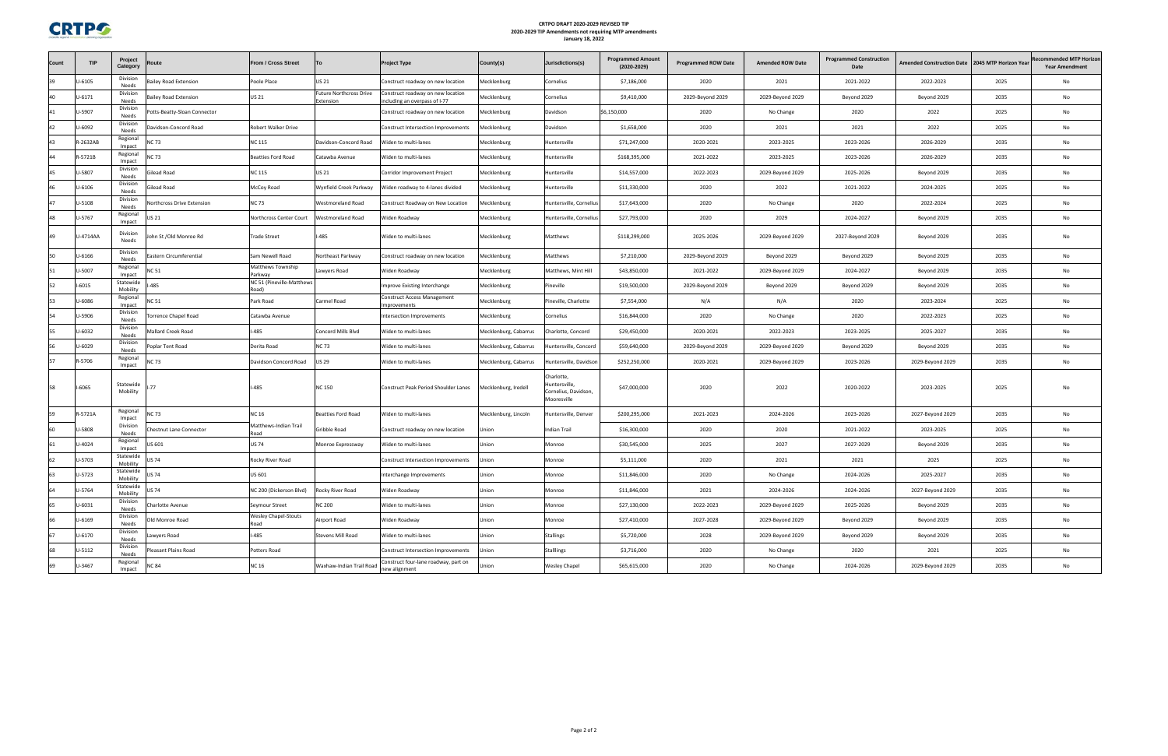

### **CRTPO DRAFT 2020‐2029 REVISED TIP 2020‐2029 TIP Amendments not requiring MTP amendments January 18, 2022**

| Count | <b>TIP</b>  | Project<br>Category   | Route                       | From / Cross Street                 | To                                   | <b>Project Type</b>                                                | County(s)             | Jurisdictions(s)                                                   | <b>Programmed Amount</b><br>$(2020 - 2029)$ | <b>Programmed ROW Date</b> | <b>Amended ROW Date</b> | <b>Programmed Construction</b><br>Date | <b>Amended Construction Date</b> | 2045 MTP Horizon Year | <b>Recommended MTP Horizon</b><br><b>Year Amendment</b> |
|-------|-------------|-----------------------|-----------------------------|-------------------------------------|--------------------------------------|--------------------------------------------------------------------|-----------------------|--------------------------------------------------------------------|---------------------------------------------|----------------------------|-------------------------|----------------------------------------|----------------------------------|-----------------------|---------------------------------------------------------|
| 39    | $J - 6105$  | Division<br>Needs     | ailey Road Extension        | Poole Place                         | <b>US 21</b>                         | Construct roadway on new location                                  | Mecklenburg           | Cornelius                                                          | \$7,186,000                                 | 2020                       | 2021                    | 2021-2022                              | 2022-2023                        | 2025                  | No                                                      |
| 40    | U-6171      | Division<br>Needs     | Bailey Road Extension       | <b>US 21</b>                        | Future Northcross Drive<br>Extension | Construct roadway on new location<br>including an overpass of I-77 | Mecklenburg           | Cornelius                                                          | \$9,410,000                                 | 2029-Beyond 2029           | 2029-Beyond 2029        | Beyond 2029                            | Beyond 2029                      | 2035                  | No                                                      |
| 41    | J-5907      | Division<br>Needs     | otts-Beatty-Sloan Connector |                                     |                                      | Construct roadway on new location                                  | Mecklenburg           | Davidson                                                           | \$6,150,000                                 | 2020                       | No Change               | 2020                                   | 2022                             | 2025                  | No                                                      |
|       | J-6092      | Division<br>Needs     | avidson-Concord Road        | Robert Walker Drive                 |                                      | Construct Intersection Improvements                                | Mecklenburg           | Davidson                                                           | \$1,658,000                                 | 2020                       | 2021                    | 2021                                   | 2022                             | 2025                  | No                                                      |
| 43    | 2-2632AB    | Regional<br>Impact    | <b>NC 73</b>                | <b>VC 115</b>                       | Davidson-Concord Road                | Widen to multi-lanes                                               | Mecklenburg           | Huntersville                                                       | \$71,247,000                                | 2020-2021                  | 2023-2025               | 2023-2026                              | 2026-2029                        | 2035                  | No                                                      |
| 44    | $3 - 5721B$ | Regional<br>Impact    | <b>JC 73</b>                | <b>Beatties Ford Road</b>           | Catawba Avenue                       | Widen to multi-lanes                                               | Mecklenburg           | Huntersville                                                       | \$168,395,000                               | 2021-2022                  | 2023-2025               | 2023-2026                              | 2026-2029                        | 2035                  | No                                                      |
| 45    | J-5807      | Division<br>Needs     | <b>Silead Road</b>          | NC 115                              | US 21                                | Corridor Improvement Project                                       | Mecklenburg           | Huntersville                                                       | \$14,557,000                                | 2022-2023                  | 2029-Beyond 2029        | 2025-2026                              | Beyond 2029                      | 2035                  | No                                                      |
| 46    | $J - 6106$  | Division<br>Needs     | Gilead Road                 | McCoy Road                          | Wynfield Creek Parkway               | Widen roadway to 4-lanes divided                                   | Mecklenburg           | Huntersville                                                       | \$11,330,000                                | 2020                       | 2022                    | 2021-2022                              | 2024-2025                        | 2025                  | No                                                      |
| 47    | J-5108      | Division<br>Needs     | orthcross Drive Extension   | <b>NC 73</b>                        | Westmoreland Road                    | Construct Roadway on New Location                                  | Mecklenburg           | Huntersville, Corneliu                                             | \$17,643,000                                | 2020                       | No Change               | 2020                                   | 2022-2024                        | 2025                  | No                                                      |
| 48    | J-5767      | Regional<br>Impact    | US 21                       | Northcross Center Court             | Vestmoreland Road                    | Widen Roadway                                                      | Mecklenburg           | Huntersville, Corneliu                                             | \$27,793,000                                | 2020                       | 2029                    | 2024-2027                              | Beyond 2029                      | 2035                  | No                                                      |
| 49    | J-4714AA    | Division<br>Needs     | Iohn St /Old Monroe Rd      | Trade Street                        | <b>-485</b>                          | Widen to multi-lanes                                               | Mecklenburg           | Matthews                                                           | \$118,299,000                               | 2025-2026                  | 2029-Beyond 2029        | 2027-Beyond 2029                       | Beyond 2029                      | 2035                  | No                                                      |
| 50    | $J - 6166$  | Division<br>Needs     | astern Circumferential      | Sam Newell Road                     | Northeast Parkway                    | Construct roadway on new location                                  | Mecklenburg           | Matthews                                                           | \$7,210,000                                 | 2029-Beyond 2029           | Beyond 2029             | Beyond 2029                            | Beyond 2029                      | 2035                  | No                                                      |
| 51    | J-5007      | Regional<br>Impact    | VC 51                       | Matthews Township<br>Parkway        | awyers Road                          | Widen Roadway                                                      | Mecklenburg           | Matthews, Mint Hill                                                | \$43,850,000                                | 2021-2022                  | 2029-Beyond 2029        | 2024-2027                              | Beyond 2029                      | 2035                  | No                                                      |
| 52    | $-6015$     | Statewide<br>Mobility | $-485$                      | NC 51 (Pineville-Matthews<br>Road)  |                                      | mprove Existing Interchange                                        | Mecklenburg           | Pineville                                                          | \$19,500,000                                | 2029-Beyond 2029           | Beyond 2029             | Beyond 2029                            | Beyond 2029                      | 2035                  | No                                                      |
| 53    | J-6086      | Regional<br>Impact    | NC 51                       | Park Road                           | Carmel Road                          | Construct Access Management<br>mprovements                         | Mecklenburg           | Pineville, Charlotte                                               | \$7,554,000                                 | N/A                        | N/A                     | 2020                                   | 2023-2024                        | 2025                  | No                                                      |
|       | J-5906      | Division<br>Needs     | orrence Chapel Road         | Catawba Avenue                      |                                      | ntersection Improvements                                           | Mecklenburg           | Cornelius                                                          | \$16,844,000                                | 2020                       | No Change               | 2020                                   | 2022-2023                        | 2025                  | No                                                      |
| 55    | J-6032      | Division<br>Needs     | Mallard Creek Road          | -485                                | Concord Mills Blvd                   | Widen to multi-lanes                                               | Mecklenburg, Cabarrus | Charlotte, Concord                                                 | \$29,450,000                                | 2020-2021                  | 2022-2023               | 2023-2025                              | 2025-2027                        | 2035                  | No                                                      |
| 56    | J-6029      | Division<br>Needs     | oplar Tent Road             | Derita Road                         | NC 73                                | Widen to multi-lanes                                               | Mecklenburg, Cabarrus | Huntersville, Concord                                              | \$59,640,000                                | 2029-Beyond 2029           | 2029-Beyond 2029        | Beyond 2029                            | Beyond 2029                      | 2035                  | No                                                      |
|       | R-5706      | Regional<br>Impact    | <b>NC 73</b>                | Davidson Concord Road               | <b>US 29</b>                         | Widen to multi-lanes                                               | Mecklenburg, Cabarrus | Huntersville, Davidsor                                             | \$252,250,000                               | 2020-2021                  | 2029-Beyond 2029        | 2023-2026                              | 2029-Beyond 2029                 | 2035                  | No                                                      |
| 58    | I-6065      | Statewide<br>Mobility | $-77$                       | -485                                | <b>NC 150</b>                        | Construct Peak Period Shoulder Lanes                               | Mecklenburg, Iredell  | Charlotte,<br>Huntersville,<br>Cornelius, Davidson,<br>Mooresville | \$47,000,000                                | 2020                       | 2022                    | 2020-2022                              | 2023-2025                        | 2025                  | No                                                      |
| 59    | R-5721A     | Regional<br>Impact    | NC 73                       | <b>VC 16</b>                        | <b>Beatties Ford Road</b>            | Widen to multi-lanes                                               | Mecklenburg, Lincoln  | Huntersville, Denver                                               | \$200,295,000                               | 2021-2023                  | 2024-2026               | 2023-2026                              | 2027-Beyond 2029                 | 2035                  | No                                                      |
| 60    | J-5808      | Division<br>Needs     | Chestnut Lane Connector     | Matthews-Indian Trail<br>Road       | Gribble Road                         | Construct roadway on new location                                  | Jnion                 | Indian Trail                                                       | \$16,300,000                                | 2020                       | 2020                    | 2021-2022                              | 2023-2025                        | 2025                  | No                                                      |
|       | J-4024      | Regional<br>Impact    | US 601                      | <b>US 74</b>                        | Monroe Expressway                    | Widen to multi-lanes                                               | Union                 | Monroe                                                             | \$30,545,000                                | 2025                       | 2027                    | 2027-2029                              | Beyond 2029                      | 2035                  | No                                                      |
| 62    | J-5703      | Statewide<br>Mobility | JS 74                       | Rocky River Road                    |                                      | Construct Intersection Improvements                                | Jnion                 | Monroe                                                             | \$5,111,000                                 | 2020                       | 2021                    | 2021                                   | 2025                             | 2025                  | No                                                      |
|       | U-5723      | Statewide<br>Mobility | US 74                       | US 601                              |                                      | terchange Improvements                                             | ווטווי                | Monroe                                                             | \$11,846,000                                | 2020                       | No Change               | 2024-2026                              | 2025-2027                        | 2035                  |                                                         |
| 64    | U-5764      | Statewide<br>Mobility | <b>US 74</b>                | NC 200 (Dickerson Blvd)             | Rocky River Road                     | Widen Roadway                                                      | Union                 | Monroe                                                             | \$11,846,000                                | 2021                       | 2024-2026               | 2024-2026                              | 2027-Beyond 2029                 | 2035                  | No                                                      |
| 65    | U-6031      | Division<br>Needs     | Charlotte Avenue            | Seymour Street                      | NC 200                               | Widen to multi-lanes                                               | Union                 | Monroe                                                             | \$27,130,000                                | 2022-2023                  | 2029-Beyond 2029        | 2025-2026                              | Beyond 2029                      | 2035                  | No                                                      |
| 66    | U-6169      | Division<br>Needs     | Old Monroe Road             | <b>Wesley Chapel-Stouts</b><br>Road | Airport Road                         | Widen Roadway                                                      | Union                 | Monroe                                                             | \$27,410,000                                | 2027-2028                  | 2029-Beyond 2029        | Beyond 2029                            | Beyond 2029                      | 2035                  | No                                                      |
| 67    | $U - 6170$  | Division<br>Needs     | Lawyers Road                | $I-485$                             | Stevens Mill Road                    | Widen to multi-lanes                                               | Union                 | <b>Stallings</b>                                                   | \$5,720,000                                 | 2028                       | 2029-Beyond 2029        | Beyond 2029                            | Beyond 2029                      | 2035                  | No                                                      |
| 68    | $U - 5112$  | Division<br>Needs     | leasant Plains Road         | Potters Road                        |                                      | Construct Intersection Improvements                                | Jnion                 | Stalllings                                                         | \$3,716,000                                 | 2020                       | No Change               | 2020                                   | 2021                             | 2025                  | No                                                      |
| 69    | U-3467      | Regional<br>Impact    | <b>NC 84</b>                | <b>NC 16</b>                        | Waxhaw-Indian Trail Road             | Construct four-lane roadway, part on<br>new alignment              | Jnion                 | Wesley Chapel                                                      | \$65,615,000                                | 2020                       | No Change               | 2024-2026                              | 2029-Beyond 2029                 | 2035                  | No                                                      |